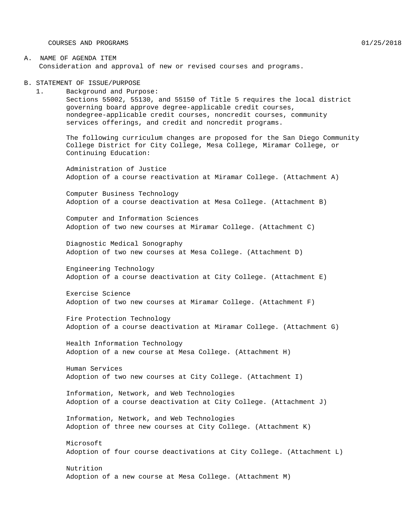COURSES AND PROGRAMS 01/25/2018

#### A. NAME OF AGENDA ITEM Consideration and approval of new or revised courses and programs.

B. STATEMENT OF ISSUE/PURPOSE

1. Background and Purpose: Sections 55002, 55130, and 55150 of Title 5 requires the local district governing board approve degree-applicable credit courses, nondegree-applicable credit courses, noncredit courses, community services offerings, and credit and noncredit programs.

The following curriculum changes are proposed for the San Diego Community College District for City College, Mesa College, Miramar College, or Continuing Education:

Administration of Justice Adoption of a course reactivation at Miramar College. (Attachment A)

Computer Business Technology Adoption of a course deactivation at Mesa College. (Attachment B)

Computer and Information Sciences Adoption of two new courses at Miramar College. (Attachment C)

Diagnostic Medical Sonography Adoption of two new courses at Mesa College. (Attachment D)

Engineering Technology Adoption of a course deactivation at City College. (Attachment E)

Exercise Science Adoption of two new courses at Miramar College. (Attachment F)

Fire Protection Technology Adoption of a course deactivation at Miramar College. (Attachment G)

Health Information Technology Adoption of a new course at Mesa College. (Attachment H)

Human Services Adoption of two new courses at City College. (Attachment I)

Information, Network, and Web Technologies Adoption of a course deactivation at City College. (Attachment J)

Information, Network, and Web Technologies Adoption of three new courses at City College. (Attachment K)

Microsoft Adoption of four course deactivations at City College. (Attachment L)

Nutrition Adoption of a new course at Mesa College. (Attachment M)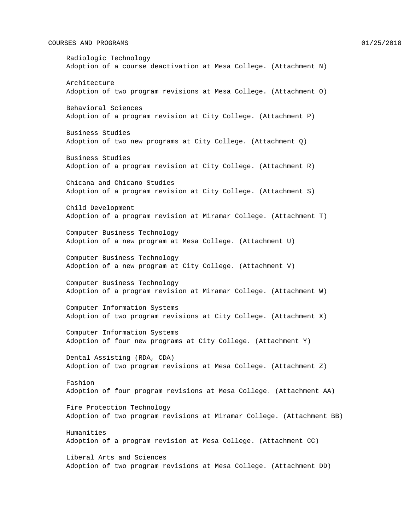#### COURSES AND PROGRAMS  $01/25/2018$

Radiologic Technology Adoption of a course deactivation at Mesa College. (Attachment N) Architecture Adoption of two program revisions at Mesa College. (Attachment O) Behavioral Sciences Adoption of a program revision at City College. (Attachment P) Business Studies Adoption of two new programs at City College. (Attachment Q) Business Studies Adoption of a program revision at City College. (Attachment R) Chicana and Chicano Studies Adoption of a program revision at City College. (Attachment S) Child Development Adoption of a program revision at Miramar College. (Attachment T) Computer Business Technology Adoption of a new program at Mesa College. (Attachment U) Computer Business Technology Adoption of a new program at City College. (Attachment V) Computer Business Technology Adoption of a program revision at Miramar College. (Attachment W) Computer Information Systems Adoption of two program revisions at City College. (Attachment X) Computer Information Systems Adoption of four new programs at City College. (Attachment Y) Dental Assisting (RDA, CDA) Adoption of two program revisions at Mesa College. (Attachment Z) Fashion Adoption of four program revisions at Mesa College. (Attachment AA) Fire Protection Technology Adoption of two program revisions at Miramar College. (Attachment BB) Humanities Adoption of a program revision at Mesa College. (Attachment CC) Liberal Arts and Sciences Adoption of two program revisions at Mesa College. (Attachment DD)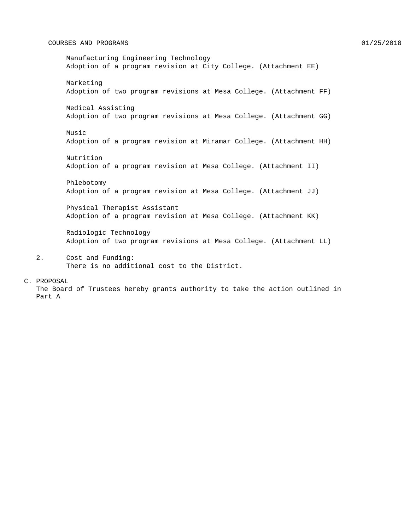#### COURSES AND PROGRAMS  $01/25/2018$

Manufacturing Engineering Technology Adoption of a program revision at City College. (Attachment EE) Marketing Adoption of two program revisions at Mesa College. (Attachment FF) Medical Assisting Adoption of two program revisions at Mesa College. (Attachment GG) Music Adoption of a program revision at Miramar College. (Attachment HH) Nutrition Adoption of a program revision at Mesa College. (Attachment II) Phlebotomy Adoption of a program revision at Mesa College. (Attachment JJ) Physical Therapist Assistant Adoption of a program revision at Mesa College. (Attachment KK) Radiologic Technology Adoption of two program revisions at Mesa College. (Attachment LL)

2. Cost and Funding: There is no additional cost to the District.

#### C. PROPOSAL

The Board of Trustees hereby grants authority to take the action outlined in Part A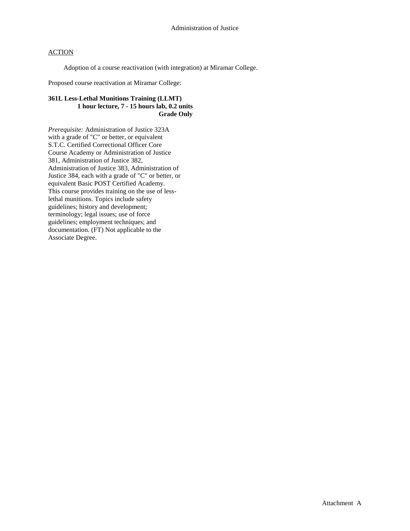Adoption of a course reactivation (with integration) at Miramar College.

Proposed course reactivation at Miramar College:

### **361L Less-Lethal Munitions Training (LLMT) 1 hour lecture, 7 - 15 hours lab, 0.2 units Grade Only**

*Prerequisite:* Administration of Justice 323A with a grade of "C" or better, or equivalent S.T.C. Certified Correctional Officer Core Course Academy or Administration of Justice 381, Administration of Justice 382, Administration of Justice 383, Administration of Justice 384, each with a grade of "C" or better, or equivalent Basic POST Certified Academy. This course provides training on the use of lesslethal munitions. Topics include safety guidelines; history and development; terminology; legal issues; use of force guidelines; employment techniques; and documentation. (FT) Not applicable to the Associate Degree.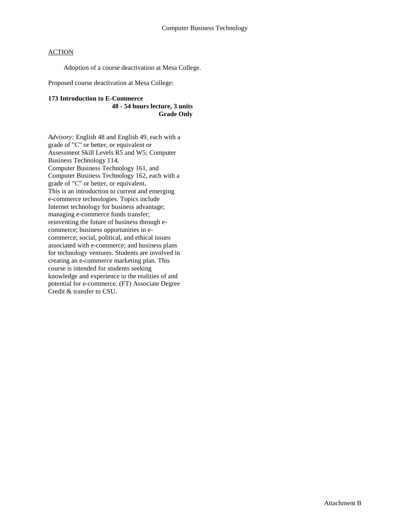Adoption of a course deactivation at Mesa College.

Proposed course deactivation at Mesa College:

#### **173 Introduction to E-Commerce 48 - 54 hours lecture, 3 units Grade Only**

*Advisory:* English 48 and English 49, each with a grade of "C" or better, or equivalent or Assessment Skill Levels R5 and W5; Computer Business Technology 114, Computer Business Technology 161, and Computer Business Technology 162, each with a grade of "C" or better, or equivalent. This is an introduction to current and emerging e-commerce technologies. Topics include Internet technology for business advantage; managing e-commerce funds transfer; reinventing the future of business through ecommerce; business opportunities in ecommerce; social, political, and ethical issues associated with e-commerce; and business plans for technology ventures. Students are involved in creating an e-commerce marketing plan. This course is intended for students seeking knowledge and experience in the realities of and potential for e-commerce. (FT) Associate Degree Credit & transfer to CSU.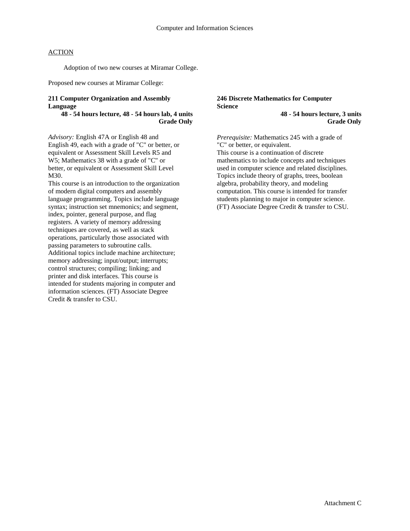Adoption of two new courses at Miramar College.

Proposed new courses at Miramar College:

### **211 Computer Organization and Assembly Language**

### **48 - 54 hours lecture, 48 - 54 hours lab, 4 units Grade Only**

*Advisory:* English 47A or English 48 and English 49, each with a grade of "C" or better, or equivalent or Assessment Skill Levels R5 and W5; Mathematics 38 with a grade of "C" or better, or equivalent or Assessment Skill Level M30.

This course is an introduction to the organization of modern digital computers and assembly language programming. Topics include language syntax; instruction set mnemonics; and segment, index, pointer, general purpose, and flag registers. A variety of memory addressing techniques are covered, as well as stack operations, particularly those associated with passing parameters to subroutine calls. Additional topics include machine architecture; memory addressing; input/output; interrupts; control structures; compiling; linking; and printer and disk interfaces. This course is intended for students majoring in computer and information sciences. (FT) Associate Degree Credit & transfer to CSU.

### **246 Discrete Mathematics for Computer Science**

**48 - 54 hours lecture, 3 units Grade Only**

*Prerequisite:* Mathematics 245 with a grade of "C" or better, or equivalent. This course is a continuation of discrete mathematics to include concepts and techniques used in computer science and related disciplines. Topics include theory of graphs, trees, boolean algebra, probability theory, and modeling computation. This course is intended for transfer students planning to major in computer science. (FT) Associate Degree Credit & transfer to CSU.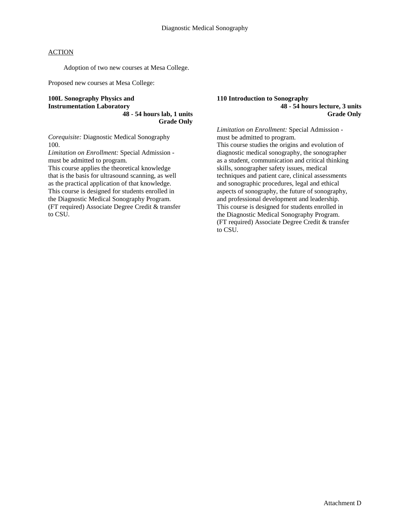Adoption of two new courses at Mesa College.

Proposed new courses at Mesa College:

**100L Sonography Physics and Instrumentation Laboratory 48 - 54 hours lab, 1 units Grade Only**

*Corequisite:* Diagnostic Medical Sonography 100.

*Limitation on Enrollment:* Special Admission must be admitted to program.

This course applies the theoretical knowledge that is the basis for ultrasound scanning, as well as the practical application of that knowledge. This course is designed for students enrolled in the Diagnostic Medical Sonography Program. (FT required) Associate Degree Credit & transfer to CSU.

#### **110 Introduction to Sonography 48 - 54 hours lecture, 3 units Grade Only**

*Limitation on Enrollment:* Special Admission must be admitted to program.

This course studies the origins and evolution of diagnostic medical sonography, the sonographer as a student, communication and critical thinking skills, sonographer safety issues, medical techniques and patient care, clinical assessments and sonographic procedures, legal and ethical aspects of sonography, the future of sonography, and professional development and leadership. This course is designed for students enrolled in the Diagnostic Medical Sonography Program. (FT required) Associate Degree Credit & transfer to CSU.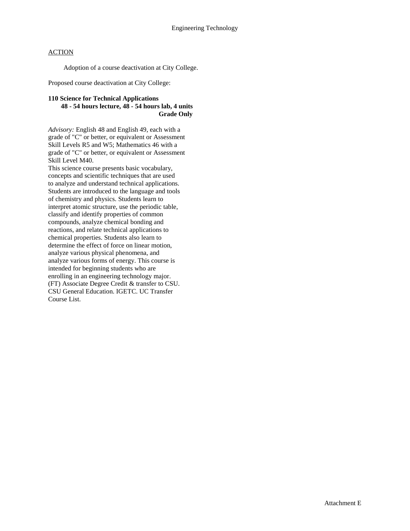Adoption of a course deactivation at City College.

Proposed course deactivation at City College:

### **110 Science for Technical Applications 48 - 54 hours lecture, 48 - 54 hours lab, 4 units Grade Only**

*Advisory:* English 48 and English 49, each with a grade of "C" or better, or equivalent or Assessment Skill Levels R5 and W5; Mathematics 46 with a grade of "C" or better, or equivalent or Assessment Skill Level M40.

This science course presents basic vocabulary, concepts and scientific techniques that are used to analyze and understand technical applications. Students are introduced to the language and tools of chemistry and physics. Students learn to interpret atomic structure, use the periodic table, classify and identify properties of common compounds, analyze chemical bonding and reactions, and relate technical applications to chemical properties. Students also learn to determine the effect of force on linear motion, analyze various physical phenomena, and analyze various forms of energy. This course is intended for beginning students who are enrolling in an engineering technology major. (FT) Associate Degree Credit & transfer to CSU. CSU General Education. IGETC. UC Transfer Course List.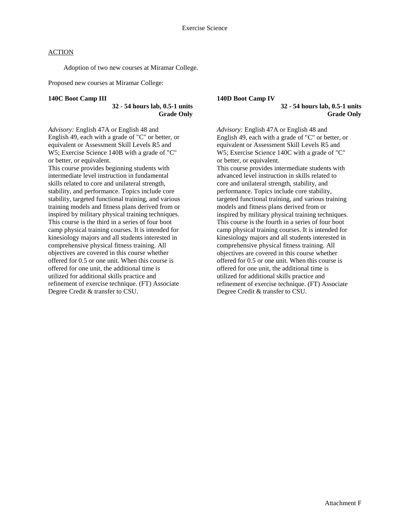Adoption of two new courses at Miramar College.

Proposed new courses at Miramar College:

#### **140C Boot Camp III**

### **32 - 54 hours lab, 0.5-1 units Grade Only**

*Advisory:* English 47A or English 48 and English 49, each with a grade of "C" or better, or equivalent or Assessment Skill Levels R5 and W5; Exercise Science 140B with a grade of "C" or better, or equivalent.

This course provides beginning students with intermediate level instruction in fundamental skills related to core and unilateral strength, stability, and performance. Topics include core stability, targeted functional training, and various training models and fitness plans derived from or inspired by military physical training techniques. This course is the third in a series of four boot camp physical training courses. It is intended for kinesiology majors and all students interested in comprehensive physical fitness training. All objectives are covered in this course whether offered for 0.5 or one unit. When this course is offered for one unit, the additional time is utilized for additional skills practice and refinement of exercise technique. (FT) Associate Degree Credit & transfer to CSU.

#### **140D Boot Camp IV 32 - 54 hours lab, 0.5-1 units Grade Only**

*Advisory:* English 47A or English 48 and English 49, each with a grade of "C" or better, or equivalent or Assessment Skill Levels R5 and W5; Exercise Science 140C with a grade of "C" or better, or equivalent.

This course provides intermediate students with advanced level instruction in skills related to core and unilateral strength, stability, and performance. Topics include core stability, targeted functional training, and various training models and fitness plans derived from or inspired by military physical training techniques. This course is the fourth in a series of four boot camp physical training courses. It is intended for kinesiology majors and all students interested in comprehensive physical fitness training. All objectives are covered in this course whether offered for 0.5 or one unit. When this course is offered for one unit, the additional time is utilized for additional skills practice and refinement of exercise technique. (FT) Associate Degree Credit & transfer to CSU.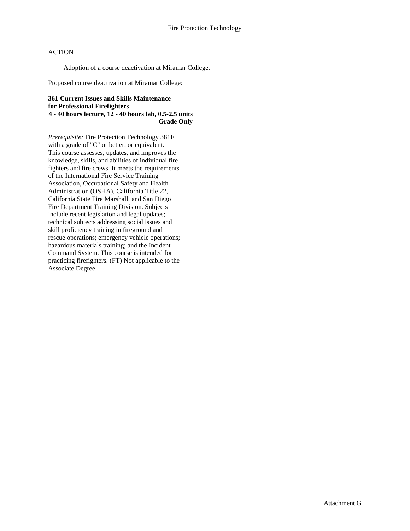Adoption of a course deactivation at Miramar College.

Proposed course deactivation at Miramar College:

### **361 Current Issues and Skills Maintenance for Professional Firefighters 4 - 40 hours lecture, 12 - 40 hours lab, 0.5-2.5 units Grade Only**

*Prerequisite:* Fire Protection Technology 381F with a grade of "C" or better, or equivalent. This course assesses, updates, and improves the knowledge, skills, and abilities of individual fire fighters and fire crews. It meets the requirements of the International Fire Service Training Association, Occupational Safety and Health Administration (OSHA), California Title 22, California State Fire Marshall, and San Diego Fire Department Training Division. Subjects include recent legislation and legal updates; technical subjects addressing social issues and skill proficiency training in fireground and rescue operations; emergency vehicle operations; hazardous materials training; and the Incident Command System. This course is intended for practicing firefighters. (FT) Not applicable to the Associate Degree.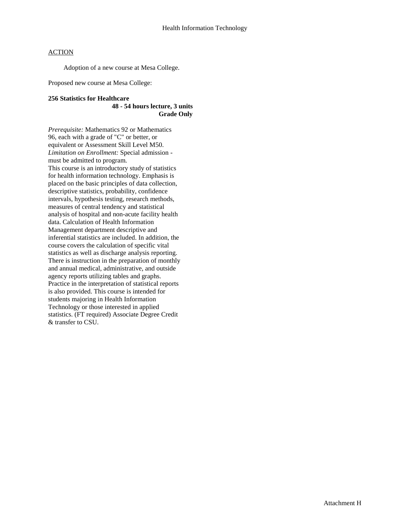Adoption of a new course at Mesa College.

Proposed new course at Mesa College:

### **256 Statistics for Healthcare 48 - 54 hours lecture, 3 units Grade Only**

*Prerequisite:* Mathematics 92 or Mathematics 96, each with a grade of "C" or better, or equivalent or Assessment Skill Level M50. *Limitation on Enrollment:* Special admission must be admitted to program. This course is an introductory study of statistics for health information technology. Emphasis is placed on the basic principles of data collection,

descriptive statistics, probability, confidence intervals, hypothesis testing, research methods, measures of central tendency and statistical analysis of hospital and non-acute facility health data. Calculation of Health Information Management department descriptive and inferential statistics are included. In addition, the course covers the calculation of specific vital statistics as well as discharge analysis reporting. There is instruction in the preparation of monthly and annual medical, administrative, and outside agency reports utilizing tables and graphs. Practice in the interpretation of statistical reports is also provided. This course is intended for students majoring in Health Information Technology or those interested in applied statistics. (FT required) Associate Degree Credit & transfer to CSU.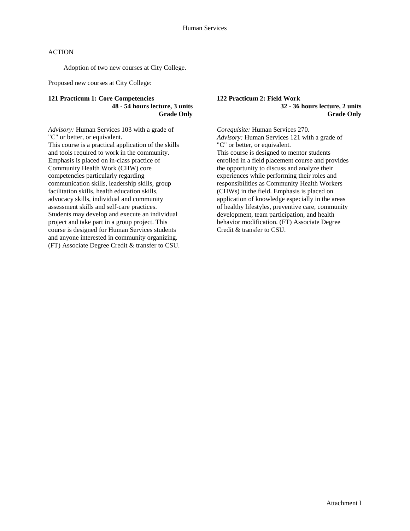Adoption of two new courses at City College.

Proposed new courses at City College:

#### **121 Practicum 1: Core Competencies 48 - 54 hours lecture, 3 units Grade Only**

*Advisory:* Human Services 103 with a grade of "C" or better, or equivalent. This course is a practical application of the skills and tools required to work in the community. Emphasis is placed on in-class practice of Community Health Work (CHW) core competencies particularly regarding communication skills, leadership skills, group facilitation skills, health education skills, advocacy skills, individual and community assessment skills and self-care practices. Students may develop and execute an individual project and take part in a group project. This course is designed for Human Services students and anyone interested in community organizing. (FT) Associate Degree Credit & transfer to CSU. **122 Practicum 2: Field Work 32 - 36 hours lecture, 2 units Grade Only**

*Corequisite:* Human Services 270. *Advisory:* Human Services 121 with a grade of "C" or better, or equivalent. This course is designed to mentor students enrolled in a field placement course and provides the opportunity to discuss and analyze their experiences while performing their roles and responsibilities as Community Health Workers (CHWs) in the field. Emphasis is placed on application of knowledge especially in the areas of healthy lifestyles, preventive care, community development, team participation, and health behavior modification. (FT) Associate Degree Credit & transfer to CSU.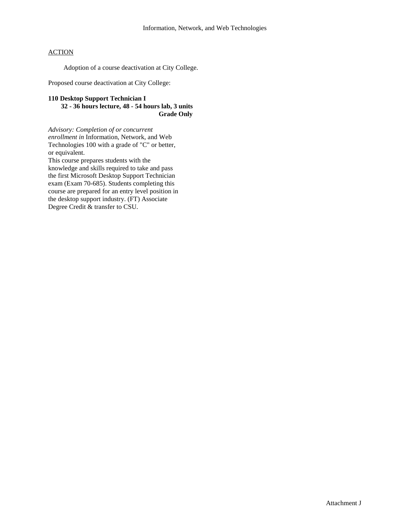Adoption of a course deactivation at City College.

Proposed course deactivation at City College:

#### **110 Desktop Support Technician I 32 - 36 hours lecture, 48 - 54 hours lab, 3 units Grade Only**

*Advisory: Completion of or concurrent enrollment in* Information, Network, and Web Technologies 100 with a grade of "C" or better, or equivalent. This course prepares students with the knowledge and skills required to take and pass the first Microsoft Desktop Support Technician exam (Exam 70-685). Students completing this course are prepared for an entry level position in

the desktop support industry. (FT) Associate

Degree Credit & transfer to CSU.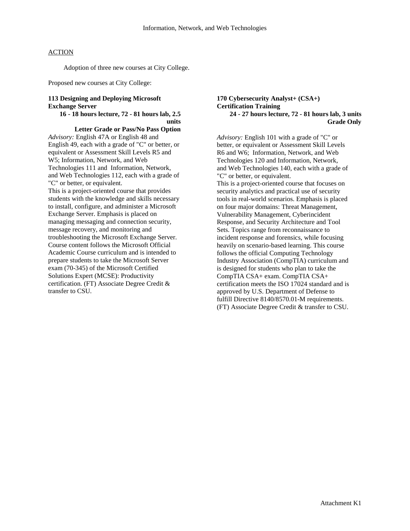Adoption of three new courses at City College.

Proposed new courses at City College:

### **113 Designing and Deploying Microsoft Exchange Server**

#### **16 - 18 hours lecture, 72 - 81 hours lab, 2.5 units**

**Letter Grade or Pass/No Pass Option** *Advisory:* English 47A or English 48 and English 49, each with a grade of "C" or better, or equivalent or Assessment Skill Levels R5 and W5; Information, Network, and Web Technologies 111 and Information, Network, and Web Technologies 112, each with a grade of "C" or better, or equivalent.

This is a project-oriented course that provides students with the knowledge and skills necessary to install, configure, and administer a Microsoft Exchange Server. Emphasis is placed on managing messaging and connection security, message recovery, and monitoring and troubleshooting the Microsoft Exchange Server. Course content follows the Microsoft Official Academic Course curriculum and is intended to prepare students to take the Microsoft Server exam (70-345) of the Microsoft Certified Solutions Expert (MCSE): Productivity certification. (FT) Associate Degree Credit & transfer to CSU.

#### **170 Cybersecurity Analyst+ (CSA+) Certification Training 24 - 27 hours lecture, 72 - 81 hours lab, 3 units Grade Only**

*Advisory:* English 101 with a grade of "C" or better, or equivalent or Assessment Skill Levels R6 and W6; Information, Network, and Web Technologies 120 and Information, Network, and Web Technologies 140, each with a grade of "C" or better, or equivalent. This is a project-oriented course that focuses on security analytics and practical use of security tools in real-world scenarios. Emphasis is placed on four major domains: Threat Management, Vulnerability Management, Cyberincident Response, and Security Architecture and Tool Sets. Topics range from reconnaissance to incident response and forensics, while focusing heavily on scenario-based learning. This course follows the official Computing Technology Industry Association (CompTIA) curriculum and is designed for students who plan to take the CompTIA CSA+ exam. CompTIA CSA+ certification meets the ISO 17024 standard and is approved by U.S. Department of Defense to fulfill Directive 8140/8570.01-M requirements. (FT) Associate Degree Credit & transfer to CSU.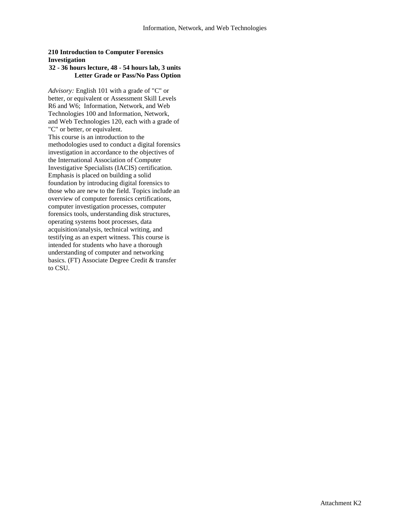### **210 Introduction to Computer Forensics Investigation**

### **32 - 36 hours lecture, 48 - 54 hours lab, 3 units Letter Grade or Pass/No Pass Option**

*Advisory:* English 101 with a grade of "C" or better, or equivalent or Assessment Skill Levels R6 and W6; Information, Network, and Web Technologies 100 and Information, Network, and Web Technologies 120, each with a grade of "C" or better, or equivalent. This course is an introduction to the methodologies used to conduct a digital forensics investigation in accordance to the objectives of the International Association of Computer Investigative Specialists (IACIS) certification. Emphasis is placed on building a solid foundation by introducing digital forensics to those who are new to the field. Topics include an overview of computer forensics certifications, computer investigation processes, computer forensics tools, understanding disk structures, operating systems boot processes, data acquisition/analysis, technical writing, and testifying as an expert witness. This course is intended for students who have a thorough understanding of computer and networking basics. (FT) Associate Degree Credit & transfer to CSU.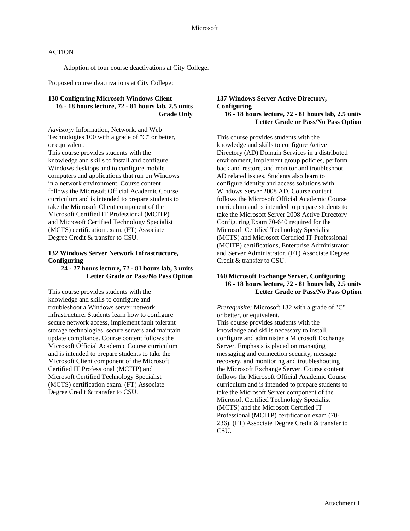Adoption of four course deactivations at City College.

Proposed course deactivations at City College:

### **130 Configuring Microsoft Windows Client 16 - 18 hours lecture, 72 - 81 hours lab, 2.5 units Grade Only**

*Advisory:* Information, Network, and Web Technologies 100 with a grade of "C" or better, or equivalent.

This course provides students with the knowledge and skills to install and configure Windows desktops and to configure mobile computers and applications that run on Windows in a network environment. Course content follows the Microsoft Official Academic Course curriculum and is intended to prepare students to take the Microsoft Client component of the Microsoft Certified IT Professional (MCITP) and Microsoft Certified Technology Specialist (MCTS) certification exam. (FT) Associate Degree Credit & transfer to CSU.

#### **132 Windows Server Network Infrastructure, Configuring**

### **24 - 27 hours lecture, 72 - 81 hours lab, 3 units Letter Grade or Pass/No Pass Option**

This course provides students with the knowledge and skills to configure and troubleshoot a Windows server network infrastructure. Students learn how to configure secure network access, implement fault tolerant storage technologies, secure servers and maintain update compliance. Course content follows the Microsoft Official Academic Course curriculum and is intended to prepare students to take the Microsoft Client component of the Microsoft Certified IT Professional (MCITP) and Microsoft Certified Technology Specialist (MCTS) certification exam. (FT) Associate Degree Credit & transfer to CSU.

#### **137 Windows Server Active Directory, Configuring 16 - 18 hours lecture, 72 - 81 hours lab, 2.5 units Letter Grade or Pass/No Pass Option**

This course provides students with the knowledge and skills to configure Active Directory (AD) Domain Services in a distributed environment, implement group policies, perform back and restore, and monitor and troubleshoot AD related issues. Students also learn to configure identity and access solutions with Windows Server 2008 AD. Course content follows the Microsoft Official Academic Course curriculum and is intended to prepare students to take the Microsoft Server 2008 Active Directory Configuring Exam 70-640 required for the Microsoft Certified Technology Specialist (MCTS) and Microsoft Certified IT Professional (MCITP) certifications, Enterprise Administrator and Server Administrator. (FT) Associate Degree Credit & transfer to CSU.

### **160 Microsoft Exchange Server, Configuring 16 - 18 hours lecture, 72 - 81 hours lab, 2.5 units Letter Grade or Pass/No Pass Option**

*Prerequisite:* Microsoft 132 with a grade of "C" or better, or equivalent. This course provides students with the knowledge and skills necessary to install, configure and administer a Microsoft Exchange Server. Emphasis is placed on managing messaging and connection security, message recovery, and monitoring and troubleshooting the Microsoft Exchange Server. Course content follows the Microsoft Official Academic Course curriculum and is intended to prepare students to take the Microsoft Server component of the Microsoft Certified Technology Specialist (MCTS) and the Microsoft Certified IT Professional (MCITP) certification exam (70- 236). (FT) Associate Degree Credit & transfer to

CSU.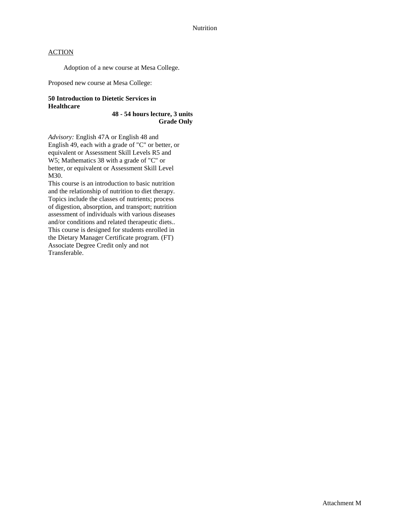Adoption of a new course at Mesa College.

Proposed new course at Mesa College:

## **50 Introduction to Dietetic Services in Healthcare**

**48 - 54 hours lecture, 3 units Grade Only**

*Advisory:* English 47A or English 48 and English 49, each with a grade of "C" or better, or equivalent or Assessment Skill Levels R5 and W5; Mathematics 38 with a grade of "C" or better, or equivalent or Assessment Skill Level M30.

This course is an introduction to basic nutrition and the relationship of nutrition to diet therapy. Topics include the classes of nutrients; process of digestion, absorption, and transport; nutrition assessment of individuals with various diseases and/or conditions and related therapeutic diets.. This course is designed for students enrolled in the Dietary Manager Certificate program. (FT) Associate Degree Credit only and not Transferable.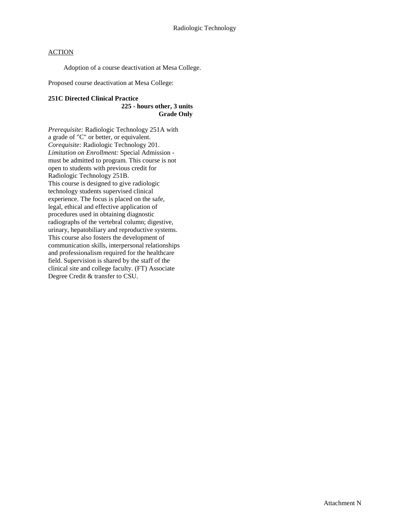Adoption of a course deactivation at Mesa College.

Proposed course deactivation at Mesa College:

#### **251C Directed Clinical Practice**

#### **225 - hours other, 3 units Grade Only**

*Prerequisite:* Radiologic Technology 251A with a grade of "C" or better, or equivalent. *Corequisite:* Radiologic Technology 201. *Limitation on Enrollment:* Special Admission must be admitted to program. This course is not open to students with previous credit for Radiologic Technology 251B. This course is designed to give radiologic technology students supervised clinical experience. The focus is placed on the safe, legal, ethical and effective application of procedures used in obtaining diagnostic radiographs of the vertebral column; digestive, urinary, hepatobiliary and reproductive systems. This course also fosters the development of communication skills, interpersonal relationships and professionalism required for the healthcare field. Supervision is shared by the staff of the clinical site and college faculty. (FT) Associate Degree Credit & transfer to CSU.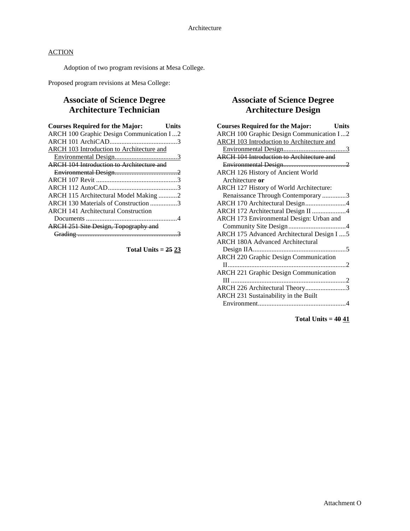Adoption of two program revisions at Mesa College.

Proposed program revisions at Mesa College:

## **Associate of Science Degree Architecture Technician**

| <b>Courses Required for the Major:</b>           | Units |
|--------------------------------------------------|-------|
| ARCH 100 Graphic Design Communication I2         |       |
|                                                  |       |
| ARCH 103 Introduction to Architecture and        |       |
|                                                  |       |
| <b>ARCH 104 Introduction to Architecture and</b> |       |
|                                                  |       |
|                                                  |       |
|                                                  |       |
| ARCH 115 Architectural Model Making 2            |       |
| ARCH 130 Materials of Construction 3             |       |
| <b>ARCH 141 Architectural Construction</b>       |       |
|                                                  |       |
| <b>ARCH 251 Site Design, Topography and</b>      |       |
|                                                  |       |
|                                                  |       |

**Total Units = 25 23**

## **Associate of Science Degree Architecture Design**

| <b>Courses Required for the Major:</b><br><b>Units</b> |  |
|--------------------------------------------------------|--|
| ARCH 100 Graphic Design Communication I2               |  |
| <b>ARCH 103 Introduction to Architecture and</b>       |  |
|                                                        |  |
| <b>ARCH 104 Introduction to Architecture and</b>       |  |
|                                                        |  |
| ARCH 126 History of Ancient World                      |  |
| Architecture or                                        |  |
| ARCH 127 History of World Architecture:                |  |
| Renaissance Through Contemporary 3                     |  |
| ARCH 170 Architectural Design4                         |  |
| ARCH 172 Architectural Design II 4                     |  |
| ARCH 173 Environmental Design: Urban and               |  |
|                                                        |  |
| ARCH 175 Advanced Architectural Design I  5            |  |
| <b>ARCH 180A Advanced Architectural</b>                |  |
|                                                        |  |
| <b>ARCH 220 Graphic Design Communication</b>           |  |
|                                                        |  |
| <b>ARCH 221 Graphic Design Communication</b>           |  |
|                                                        |  |
| ARCH 226 Architectural Theory3                         |  |
| ARCH 231 Sustainability in the Built                   |  |
|                                                        |  |
|                                                        |  |

**Total Units = 40 41**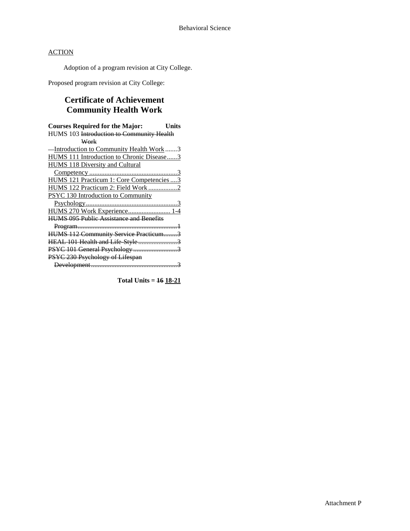Adoption of a program revision at City College.

Proposed program revision at City College:

## **Certificate of Achievement Community Health Work**

| <b>Courses Required for the Major:</b><br>Units |
|-------------------------------------------------|
| HUMS 103 Introduction to Community Health       |
| Work                                            |
| -Introduction to Community Health Work3         |
| HUMS 111 Introduction to Chronic Disease3       |
| HUMS 118 Diversity and Cultural                 |
|                                                 |
| HUMS 121 Practicum 1: Core Competencies  3      |
| HUMS 122 Practicum 2: Field Work 2              |
| PSYC 130 Introduction to Community              |
|                                                 |
| HUMS 270 Work Experience 1-4                    |
| <b>HUMS 095 Public Assistance and Benefits</b>  |
|                                                 |
| <b>HUMS 112 Community Service Practicum3</b>    |
|                                                 |
| PSYC 101 General Psychology3                    |
| PSYC 230 Psychology of Lifespan                 |
|                                                 |

**Total Units = 16 18-21**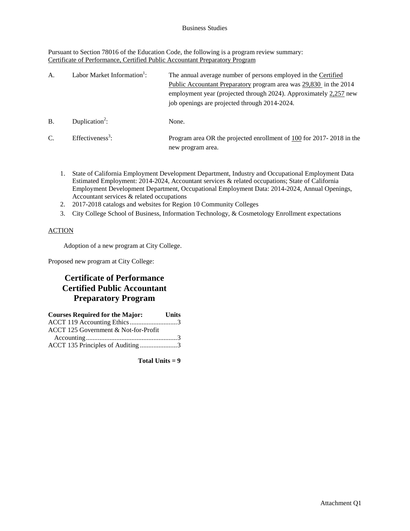Pursuant to Section 78016 of the Education Code, the following is a program review summary: Certificate of Performance, Certified Public Accountant Preparatory Program

| A.              | Labor Market Information <sup>1</sup> : | The annual average number of persons employed in the Certified<br>Public Accountant Preparatory program area was 29,830 in the 2014<br>employment year (projected through 2024). Approximately 2,257 new<br>job openings are projected through 2014-2024. |
|-----------------|-----------------------------------------|-----------------------------------------------------------------------------------------------------------------------------------------------------------------------------------------------------------------------------------------------------------|
| B.              | Duplication <sup>2</sup> :              | None.                                                                                                                                                                                                                                                     |
| $\mathcal{C}$ . | Effectiveness <sup>3</sup> :            | Program area OR the projected enrollment of 100 for 2017-2018 in the<br>new program area.                                                                                                                                                                 |

- 1. State of California Employment Development Department, Industry and Occupational Employment Data Estimated Employment: 2014-2024, Accountant services & related occupations; State of California Employment Development Department, Occupational Employment Data: 2014-2024, Annual Openings, Accountant services & related occupations
- 2. 2017-2018 catalogs and websites for Region 10 Community Colleges
- 3. City College School of Business, Information Technology, & Cosmetology Enrollment expectations

## **ACTION**

Adoption of a new program at City College.

Proposed new program at City College:

## **Certificate of Performance Certified Public Accountant Preparatory Program**

| <b>Courses Required for the Major:</b> | <b>Units</b> |
|----------------------------------------|--------------|
| ACCT 119 Accounting Ethics3            |              |
| ACCT 125 Government & Not-for-Profit   |              |
|                                        |              |
| ACCT 135 Principles of Auditing 3      |              |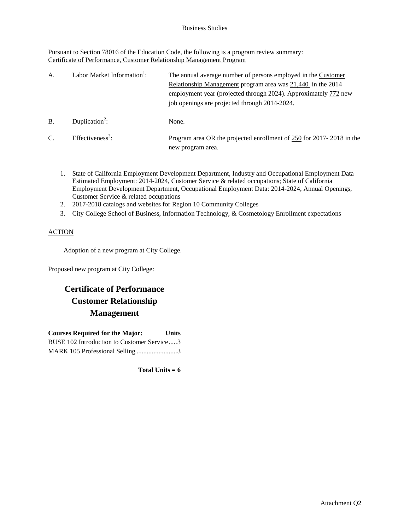Pursuant to Section 78016 of the Education Code, the following is a program review summary: Certificate of Performance, Customer Relationship Management Program

| A.            | Labor Market Information <sup>1</sup> : | The annual average number of persons employed in the Customer<br>Relationship Management program area was 21,440 in the 2014<br>employment year (projected through 2024). Approximately 772 new<br>job openings are projected through 2014-2024. |
|---------------|-----------------------------------------|--------------------------------------------------------------------------------------------------------------------------------------------------------------------------------------------------------------------------------------------------|
| <b>B.</b>     | Duplication <sup>2</sup> :              | None.                                                                                                                                                                                                                                            |
| $\mathcal{C}$ | $Effectiveness3$ :                      | Program area OR the projected enrollment of 250 for 2017-2018 in the<br>new program area.                                                                                                                                                        |

- 1. State of California Employment Development Department, Industry and Occupational Employment Data Estimated Employment: 2014-2024, Customer Service & related occupations; State of California Employment Development Department, Occupational Employment Data: 2014-2024, Annual Openings, Customer Service & related occupations
- 2. 2017-2018 catalogs and websites for Region 10 Community Colleges
- 3. City College School of Business, Information Technology, & Cosmetology Enrollment expectations

## **ACTION**

Adoption of a new program at City College.

Proposed new program at City College:

## **Certificate of Performance Customer Relationship Management**

| <b>Courses Required for the Major:</b>     | <b>Units</b> |
|--------------------------------------------|--------------|
| BUSE 102 Introduction to Customer Service3 |              |
| MARK 105 Professional Selling 3            |              |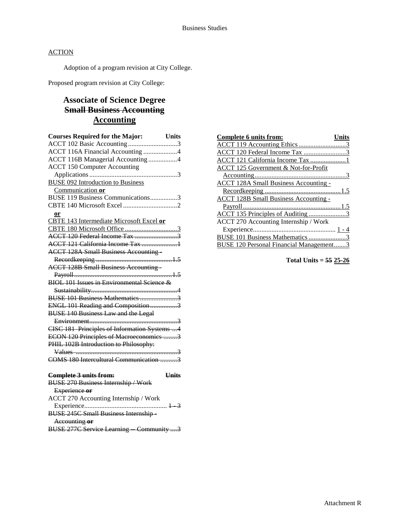Adoption of a program revision at City College.

Proposed program revision at City College:

## **Associate of Science Degree Small Business Accounting Accounting**

| <b>Courses Required for the Major:</b><br><b>Units</b> |  |
|--------------------------------------------------------|--|
| ACCT 102 Basic Accounting 3                            |  |
| ACCT 116A Financial Accounting 4                       |  |
| ACCT 116B Managerial Accounting 4                      |  |
| <b>ACCT 150 Computer Accounting</b>                    |  |
|                                                        |  |
| <b>BUSE 092 Introduction to Business</b>               |  |
| Communication or                                       |  |
| BUSE 119 Business Communications3                      |  |
|                                                        |  |
| or                                                     |  |
| CBTE 143 Intermediate Microsoft Excel or               |  |
|                                                        |  |
| <b>ACCT 120 Federal Income Tax 3</b>                   |  |
| ACCT 121 California Income Tax 1                       |  |
| <b>ACCT 128A Small Business Accounting</b>             |  |
|                                                        |  |
| <b>ACCT 128B Small Business Accounting</b>             |  |
|                                                        |  |
| BIOL 101 Issues in Environmental Science &             |  |
|                                                        |  |
| BUSE 101 Business Mathematics 3                        |  |
| ENGL 101 Reading and Composition3                      |  |
| <b>BUSE 140 Business Law and the Legal</b>             |  |
|                                                        |  |
| CISC 181 Principles of Information Systems  4          |  |
| ECON 120 Principles of Macroeconomics 3                |  |
| PHIL 102B Introduction to Philosophy:                  |  |
|                                                        |  |
| COMS 180 Intercultural Communication 3                 |  |
| <b>Units</b><br>Complete 3 units from:                 |  |
| <b>BUSE 270 Business Internship / Work</b>             |  |
| Experience or                                          |  |
| <b>ACCT 270 Accounting Internship / Work</b>           |  |
|                                                        |  |
| <b>BUSE 245C Small Business Internship-</b>            |  |
| Accounting or                                          |  |

| <i>ACC</i> AUDIT DR AP<br>$T_{\text{t}}$ and $T_{\text{t}}$                                            |  |  |
|--------------------------------------------------------------------------------------------------------|--|--|
| <b>DIRE 277C Service Learning Community</b> 2<br>$\frac{1}{1000}$ 2110 bot vice Learning $-$ Community |  |  |
|                                                                                                        |  |  |

| Complete 6 units from:                          |  |
|-------------------------------------------------|--|
|                                                 |  |
|                                                 |  |
| ACCT 121 California Income Tax 1                |  |
| <b>ACCT 125 Government &amp; Not-for-Profit</b> |  |
|                                                 |  |
| <b>ACCT 128A Small Business Accounting -</b>    |  |
|                                                 |  |
| <b>ACCT 128B Small Business Accounting -</b>    |  |
|                                                 |  |
| <u>ACCT 135 Principles of Auditing 3</u>        |  |
| ACCT 270 Accounting Internship / Work           |  |
|                                                 |  |
| BUSE 101 Business Mathematics 3                 |  |
| USE 120 Personal Financial Management3          |  |

**Total Units = 55 25-26**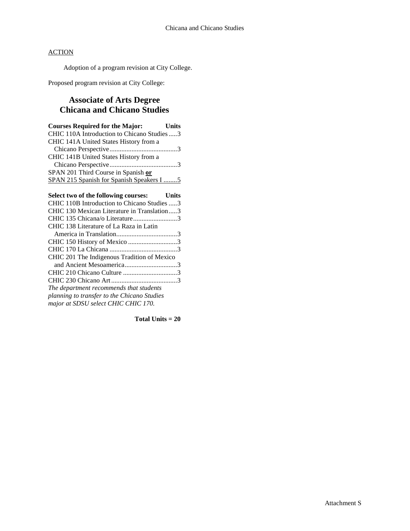Adoption of a program revision at City College.

Proposed program revision at City College:

## **Associate of Arts Degree Chicana and Chicano Studies**

| <b>Courses Required for the Major:</b>       | <b>Units</b> |
|----------------------------------------------|--------------|
| CHIC 110A Introduction to Chicano Studies  3 |              |
| CHIC 141A United States History from a       |              |
|                                              |              |
| CHIC 141B United States History from a       |              |
|                                              |              |
| SPAN 201 Third Course in Spanish or          |              |
| SPAN 215 Spanish for Spanish Speakers I      |              |

| Select two of the following courses: Units  |  |
|---------------------------------------------|--|
| CHIC 110B Introduction to Chicano Studies 3 |  |
| CHIC 130 Mexican Literature in Translation3 |  |
| CHIC 135 Chicana/o Literature3              |  |
| CHIC 138 Literature of La Raza in Latin     |  |
|                                             |  |
| CHIC 150 History of Mexico 3                |  |
|                                             |  |
| CHIC 201 The Indigenous Tradition of Mexico |  |
| and Ancient Mesoamerica3                    |  |
|                                             |  |
|                                             |  |
| The department recommends that students     |  |
| planning to transfer to the Chicano Studies |  |
| major at SDSU select CHIC CHIC 170.         |  |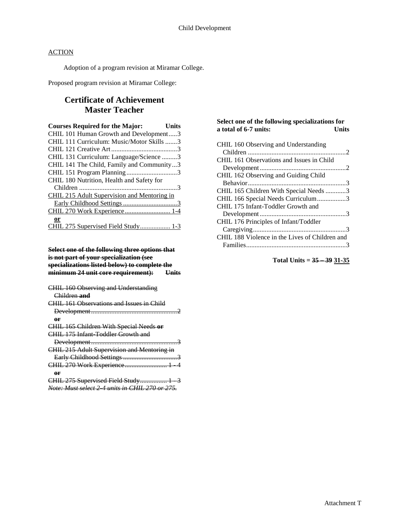Adoption of a program revision at Miramar College.

Proposed program revision at Miramar College:

## **Certificate of Achievement Master Teacher**

| <b>Courses Required for the Major:</b>      | Units |
|---------------------------------------------|-------|
| CHIL 101 Human Growth and Development3      |       |
| CHIL 111 Curriculum: Music/Motor Skills 3   |       |
|                                             |       |
| CHIL 131 Curriculum: Language/Science 3     |       |
| CHIL 141 The Child, Family and Community3   |       |
|                                             |       |
| CHIL 180 Nutrition, Health and Safety for   |       |
|                                             |       |
| CHIL 215 Adult Supervision and Mentoring in |       |
|                                             |       |
| CHIL 270 Work Experience 1-4                |       |
| or                                          |       |
| CHIL 275 Supervised Field Study 1-3         |       |

### **Select one of the following three options that is not part of your specialization (see specializations listed below) to complete the minimum 24 unit core requirement): Units**

| CHIL 160 Observing and Understanding            |  |
|-------------------------------------------------|--|
| Children and                                    |  |
| CHIL 161 Observations and Issues in Child       |  |
|                                                 |  |
| өr                                              |  |
| <b>CHIL 165 Children With Special Needs or</b>  |  |
| CHIL 175 Infant Toddler Growth and              |  |
|                                                 |  |
| CHIL 215 Adult Supervision and Mentoring in     |  |
|                                                 |  |
| CHIL 270 Work Experience 1 4                    |  |
| or                                              |  |
| CHIL 275 Supervised Field Study 1 3             |  |
| Note: Must select 2 4 units in CHIL 270 or 275. |  |

### **Select one of the following specializations for a total of 6-7 units:**

**Total Units = 35 – 39 31-35**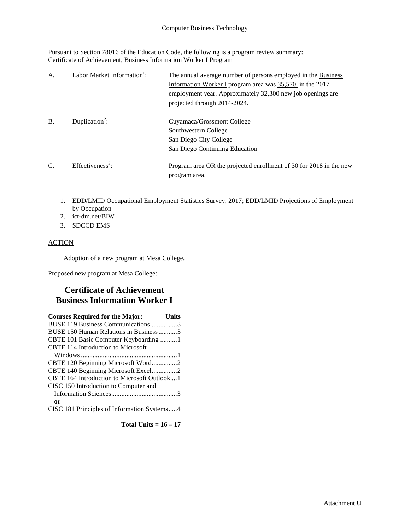Pursuant to Section 78016 of the Education Code, the following is a program review summary: Certificate of Achievement, Business Information Worker I Program

| A.        | Labor Market Information <sup>1</sup> : | The annual average number of persons employed in the Business<br>Information Worker I program area was $35,570$ in the 2017<br>employment year. Approximately 32,300 new job openings are<br>projected through 2014-2024. |
|-----------|-----------------------------------------|---------------------------------------------------------------------------------------------------------------------------------------------------------------------------------------------------------------------------|
| <b>B.</b> | Duplication <sup>2</sup> :              | Cuyamaca/Grossmont College<br>Southwestern College<br>San Diego City College<br>San Diego Continuing Education                                                                                                            |
| C.        | Effectiveness <sup>3</sup> :            | Program area OR the projected enrollment of $30$ for 2018 in the new<br>program area.                                                                                                                                     |

- 1. EDD/LMID Occupational Employment Statistics Survey, 2017; EDD/LMID Projections of Employment by Occupation
- 2. ict-dm.net/BIW
- 3. SDCCD EMS

### ACTION

Adoption of a new program at Mesa College.

Proposed new program at Mesa College:

## **Certificate of Achievement Business Information Worker I**

| <b>Courses Required for the Major:</b>      | Units |
|---------------------------------------------|-------|
| BUSE 119 Business Communications3           |       |
| BUSE 150 Human Relations in Business3       |       |
| CBTE 101 Basic Computer Keyboarding 1       |       |
| CBTE 114 Introduction to Microsoft          |       |
|                                             |       |
|                                             |       |
| CBTE 140 Beginning Microsoft Excel2         |       |
| CBTE 164 Introduction to Microsoft Outlook1 |       |
| CISC 150 Introduction to Computer and       |       |
|                                             |       |
| 0r                                          |       |
| CISC 181 Principles of Information Systems4 |       |

**Total Units = 16 – 17**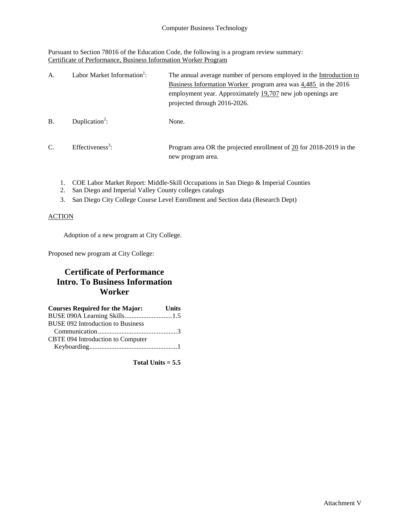Pursuant to Section 78016 of the Education Code, the following is a program review summary: Certificate of Performance, Business Information Worker Program

| A.            | Labor Market Information <sup>1</sup> : | The annual average number of persons employed in the Introduction to<br>Business Information Worker program area was 4,485 in the 2016<br>employment year. Approximately 19,707 new job openings are<br>projected through 2016-2026. |
|---------------|-----------------------------------------|--------------------------------------------------------------------------------------------------------------------------------------------------------------------------------------------------------------------------------------|
| <b>B</b> .    | Duplication <sup>2</sup> :              | None.                                                                                                                                                                                                                                |
| $\mathcal{C}$ | Effectiveness <sup>3</sup> :            | Program area OR the projected enrollment of 20 for 2018-2019 in the<br>new program area.                                                                                                                                             |

- 1. COE Labor Market Report: Middle-Skill Occupations in San Diego & Imperial Counties
- 2. San Diego and Imperial Valley County colleges catalogs
- 3. San Diego City College Course Level Enrollment and Section data (Research Dept)

### **ACTION**

Adoption of a new program at City College.

Proposed new program at City College:

## **Certificate of Performance Intro. To Business Information Worker**

| <b>Courses Required for the Major:</b>   | <b>Units</b> |
|------------------------------------------|--------------|
| BUSE 090A Learning Skills1.5             |              |
| <b>BUSE 092 Introduction to Business</b> |              |
|                                          |              |
| CBTE 094 Introduction to Computer        |              |
|                                          |              |

**Total Units = 5.5**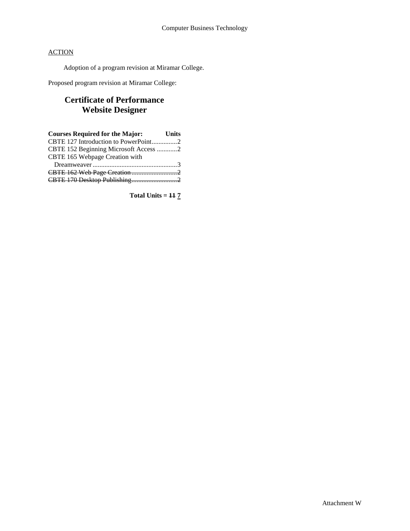Adoption of a program revision at Miramar College.

Proposed program revision at Miramar College:

## **Certificate of Performance Website Designer**

| <b>Courses Required for the Major:</b> Units |  |
|----------------------------------------------|--|
| CBTE 127 Introduction to PowerPoint2         |  |
| CBTE 152 Beginning Microsoft Access 2        |  |
| CBTE 165 Webpage Creation with               |  |
|                                              |  |
|                                              |  |
| CBTE 170 Desktop Publishing2                 |  |

**Total Units = 11 7**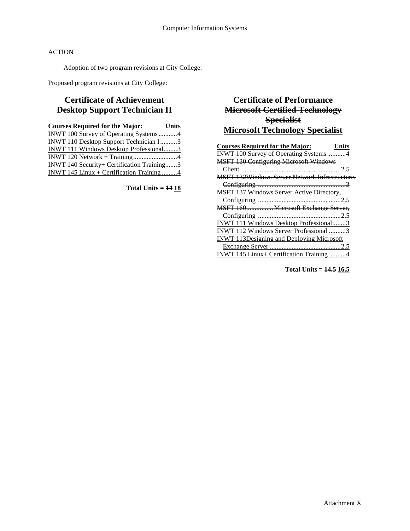Adoption of two program revisions at City College.

Proposed program revisions at City College:

## **Certificate of Achievement Desktop Support Technician II**

| INWT 100 Survey of Operating Systems4         |  |
|-----------------------------------------------|--|
| <b>INWT 110 Desktop Support Technician I3</b> |  |
| <b>INWT 111 Windows Desktop Professional3</b> |  |
|                                               |  |
| INWT 140 Security+ Certification Training3    |  |
| INWT 145 Linux + Certification Training 4     |  |

**Total Units = 14 18**

## **Certificate of Performance Microsoft Certified Technology Specialist Microsoft Technology Specialist**

| <b>Courses Required for the Major:</b><br>Units       |
|-------------------------------------------------------|
| INWT 100 Survey of Operating Systems4                 |
| <b>MSFT 130 Configuring Microsoft Windows</b>         |
|                                                       |
| <b>MSFT 132Windows Server Network Infrastructure.</b> |
|                                                       |
| <b>MSFT 137 Windows Server Active Directory,</b>      |
|                                                       |
| MSFT 160 Microsoft Exchange Server,                   |
|                                                       |
| INWT 111 Windows Desktop Professional3                |
| INWT 112 Windows Server Professional 3                |
| <b>INWT 113Designing and Deploying Microsoft</b>      |
|                                                       |
| INWT 145 Linux+ Certification Training 4              |

**Total Units = 14.5 16.5**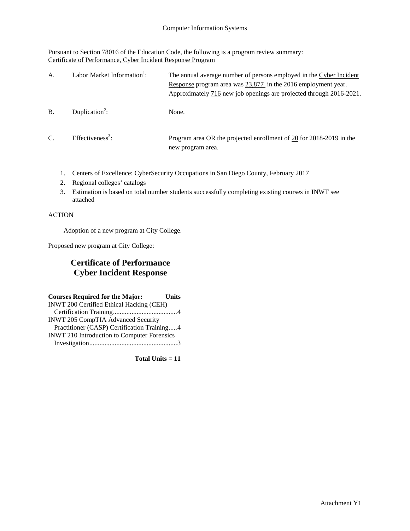Pursuant to Section 78016 of the Education Code, the following is a program review summary: Certificate of Performance, Cyber Incident Response Program

| A.            | Labor Market Information <sup>1</sup> : | The annual average number of persons employed in the Cyber Incident<br>Response program area was $23,877$ in the 2016 employment year.<br>Approximately 716 new job openings are projected through 2016-2021. |
|---------------|-----------------------------------------|---------------------------------------------------------------------------------------------------------------------------------------------------------------------------------------------------------------|
| B.            | Duplication <sup>2</sup> :              | None.                                                                                                                                                                                                         |
| $\mathcal{C}$ | Effectiveness <sup>3</sup> :            | Program area OR the projected enrollment of 20 for 2018-2019 in the<br>new program area.                                                                                                                      |

- 1. Centers of Excellence: CyberSecurity Occupations in San Diego County, February 2017
- 2. Regional colleges' catalogs
- 3. Estimation is based on total number students successfully completing existing courses in INWT see attached

## **ACTION**

Adoption of a new program at City College.

Proposed new program at City College:

## **Certificate of Performance Cyber Incident Response**

| <b>Courses Required for the Major:</b>             | <b>Units</b> |
|----------------------------------------------------|--------------|
| <b>INWT 200 Certified Ethical Hacking (CEH)</b>    |              |
|                                                    |              |
| INWT 205 CompTIA Advanced Security                 |              |
| Practitioner (CASP) Certification Training4        |              |
| <b>INWT 210 Introduction to Computer Forensics</b> |              |
|                                                    |              |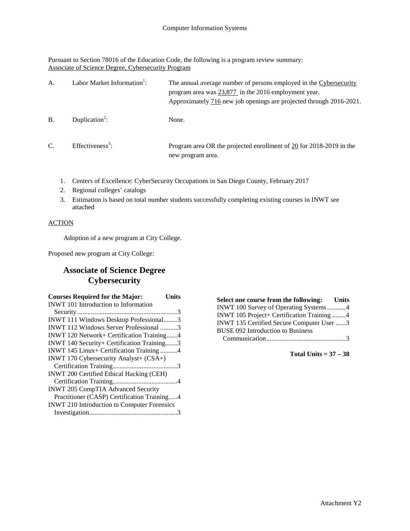Pursuant to Section 78016 of the Education Code, the following is a program review summary: Associate of Science Degree, Cybersecurity Program

| А.         | Labor Market Information <sup>1</sup> : | The annual average number of persons employed in the Cybersecurity<br>program area was 23,877 in the 2016 employment year.<br>Approximately 716 new job openings are projected through 2016-2021. |
|------------|-----------------------------------------|---------------------------------------------------------------------------------------------------------------------------------------------------------------------------------------------------|
| <b>B</b> . | Duplication <sup>2</sup> :              | None.                                                                                                                                                                                             |
| C.         | $Effectiveness3$ :                      | Program area OR the projected enrollment of $20$ for 2018-2019 in the<br>new program area.                                                                                                        |

- 1. Centers of Excellence: CyberSecurity Occupations in San Diego County, February 2017
- 2. Regional colleges' catalogs
- 3. Estimation is based on total number students successfully completing existing courses in INWT see attached

### ACTION

Adoption of a new program at City College.

Proposed new program at City College:

## **Associate of Science Degree Cybersecurity**

| <b>Courses Required for the Major:</b>             | Units |
|----------------------------------------------------|-------|
| <b>INWT</b> 101 Introduction to Information        |       |
|                                                    |       |
| INWT 111 Windows Desktop Professional3             |       |
| INWT 112 Windows Server Professional 3             |       |
| INWT 120 Network+ Certification Training4          |       |
| INWT 140 Security+ Certification Training3         |       |
| INWT 145 Linux+ Certification Training 4           |       |
| INWT 170 Cybersecurity Analyst+ (CSA+)             |       |
|                                                    |       |
| <b>INWT 200 Certified Ethical Hacking (CEH)</b>    |       |
|                                                    |       |
| <b>INWT 205 CompTIA Advanced Security</b>          |       |
| Practitioner (CASP) Certification Training4        |       |
| <b>INWT 210 Introduction to Computer Forensics</b> |       |
|                                                    |       |

**Select one course from the following: Units** INWT 100 Survey of Operating Systems...........4 INWT 105 Project+ Certification Training ........4 INWT 135 Certified Secure Computer User ......3 BUSE 092 Introduction to Business Communication...............................................3

**Total Units = 37 – 38**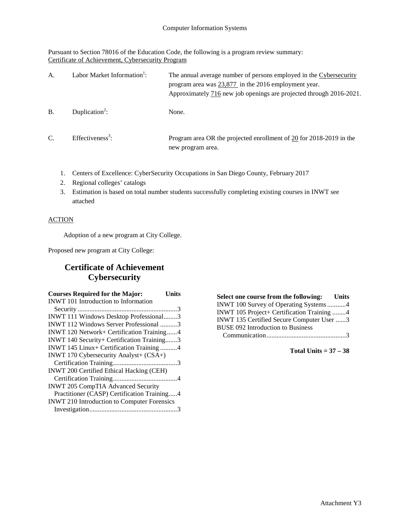Pursuant to Section 78016 of the Education Code, the following is a program review summary: Certificate of Achievement, Cybersecurity Program

| A.            | Labor Market Information <sup>1</sup> : | The annual average number of persons employed in the Cybersecurity<br>program area was $23,877$ in the 2016 employment year.<br>Approximately 716 new job openings are projected through 2016-2021. |
|---------------|-----------------------------------------|-----------------------------------------------------------------------------------------------------------------------------------------------------------------------------------------------------|
| <b>B.</b>     | Duplication <sup>2</sup> :              | None.                                                                                                                                                                                               |
| $\mathcal{C}$ | Effectiveness <sup>3</sup> :            | Program area OR the projected enrollment of 20 for 2018-2019 in the<br>new program area.                                                                                                            |

- 1. Centers of Excellence: CyberSecurity Occupations in San Diego County, February 2017
- 2. Regional colleges' catalogs
- 3. Estimation is based on total number students successfully completing existing courses in INWT see attached

### **ACTION**

Adoption of a new program at City College.

Proposed new program at City College:

## **Certificate of Achievement Cybersecurity**

| <b>Courses Required for the Major:</b>             | Units |
|----------------------------------------------------|-------|
| <b>INWT</b> 101 Introduction to Information        |       |
|                                                    |       |
| INWT 111 Windows Desktop Professional3             |       |
| <b>INWT</b> 112 Windows Server Professional 3      |       |
| INWT 120 Network+ Certification Training4          |       |
| INWT 140 Security+ Certification Training3         |       |
| INWT 145 Linux+ Certification Training 4           |       |
| INWT 170 Cybersecurity Analyst+ (CSA+)             |       |
|                                                    |       |
| <b>INWT 200 Certified Ethical Hacking (CEH)</b>    |       |
|                                                    |       |
| <b>INWT 205 CompTIA Advanced Security</b>          |       |
| Practitioner (CASP) Certification Training4        |       |
| <b>INWT 210 Introduction to Computer Forensics</b> |       |
|                                                    |       |

**Select one course from the following: Units** INWT 100 Survey of Operating Systems...........4 INWT 105 Project+ Certification Training ........4 INWT 135 Certified Secure Computer User ......3 BUSE 092 Introduction to Business Communication...............................................3

**Total Units = 37 – 38**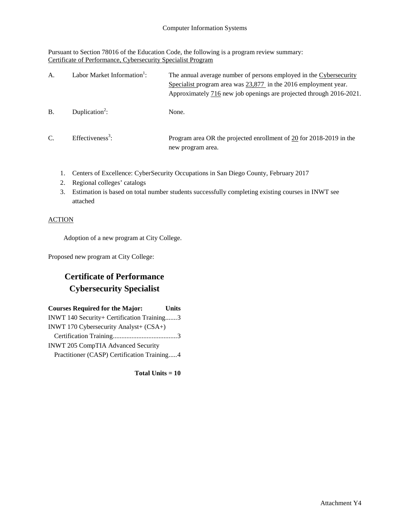Pursuant to Section 78016 of the Education Code, the following is a program review summary: Certificate of Performance, Cybersecurity Specialist Program

| A.            | Labor Market Information <sup>1</sup> : | The annual average number of persons employed in the Cybersecurity<br>Specialist program area was $23,877$ in the 2016 employment year.<br>Approximately 716 new job openings are projected through 2016-2021. |
|---------------|-----------------------------------------|----------------------------------------------------------------------------------------------------------------------------------------------------------------------------------------------------------------|
| B.            | Duplication <sup>2</sup> :              | None.                                                                                                                                                                                                          |
| $\mathcal{C}$ | Effectiveness <sup>3</sup> :            | Program area OR the projected enrollment of 20 for 2018-2019 in the<br>new program area.                                                                                                                       |

- 1. Centers of Excellence: CyberSecurity Occupations in San Diego County, February 2017
- 2. Regional colleges' catalogs
- 3. Estimation is based on total number students successfully completing existing courses in INWT see attached

### ACTION

Adoption of a new program at City College.

Proposed new program at City College:

## **Certificate of Performance Cybersecurity Specialist**

| <b>Courses Required for the Major:</b>      | <b>Units</b> |
|---------------------------------------------|--------------|
| INWT 140 Security+ Certification Training3  |              |
| INWT 170 Cybersecurity Analyst+ (CSA+)      |              |
|                                             |              |
| INWT 205 CompTIA Advanced Security          |              |
| Practitioner (CASP) Certification Training4 |              |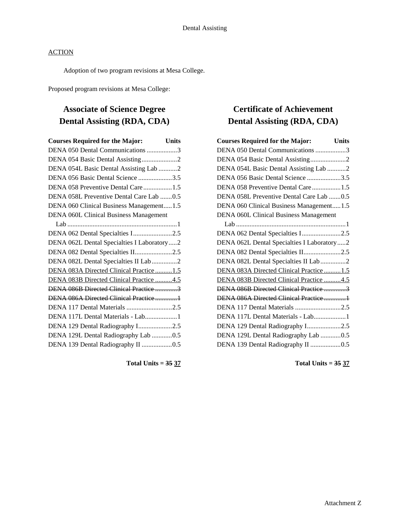Adoption of two program revisions at Mesa College.

Proposed program revisions at Mesa College:

## **Associate of Science Degree Dental Assisting (RDA, CDA)**

| <b>Courses Required for the Major:</b><br><b>Units</b> |
|--------------------------------------------------------|
| DENA 050 Dental Communications 3                       |
| DENA 054 Basic Dental Assisting2                       |
| DENA 054L Basic Dental Assisting Lab 2                 |
| DENA 056 Basic Dental Science 3.5                      |
| DENA 058 Preventive Dental Care1.5                     |
| DENA 058L Preventive Dental Care Lab 0.5               |
| DENA 060 Clinical Business Management1.5               |
| <b>DENA 060L Clinical Business Management</b>          |
|                                                        |
| DENA 062 Dental Specialties I2.5                       |
| DENA 062L Dental Specialties I Laboratory2             |
| DENA 082 Dental Specialties II2.5                      |
| DENA 082L Dental Specialties II Lab 2                  |
| DENA 083A Directed Clinical Practice1.5                |
| DENA 083B Directed Clinical Practice 4.5               |
| DENA 086B Directed Clinical Practice 3                 |
| DENA 086A Directed Clinical Practice 1                 |
| DENA 117 Dental Materials 2.5                          |
| DENA 117L Dental Materials - Lab1                      |
| DENA 129 Dental Radiography I2.5                       |
| DENA 129L Dental Radiography Lab 0.5                   |
| DENA 139 Dental Radiography II 0.5                     |
|                                                        |

**Total Units = 35 37**

## **Certificate of Achievement Dental Assisting (RDA, CDA)**

| <b>Courses Required for the Major:</b><br><b>Units</b> |  |
|--------------------------------------------------------|--|
| DENA 050 Dental Communications 3                       |  |
| DENA 054 Basic Dental Assisting2                       |  |
| DENA 054L Basic Dental Assisting Lab 2                 |  |
| DENA 056 Basic Dental Science 3.5                      |  |
| DENA 058 Preventive Dental Care1.5                     |  |
| DENA 058L Preventive Dental Care Lab 0.5               |  |
| DENA 060 Clinical Business Management1.5               |  |
| <b>DENA 060L Clinical Business Management</b>          |  |
|                                                        |  |
| DENA 062 Dental Specialties I2.5                       |  |
| DENA 062L Dental Specialties I Laboratory2             |  |
| DENA 082 Dental Specialties II2.5                      |  |
| DENA 082L Dental Specialties II Lab 2                  |  |
| DENA 083A Directed Clinical Practice1.5                |  |
| DENA 083B Directed Clinical Practice 4.5               |  |
| DENA 086B Directed Clinical Practice 3                 |  |
| DENA 086A Directed Clinical Practice1                  |  |
| DENA 117 Dental Materials 2.5                          |  |
| DENA 117L Dental Materials - Lab1                      |  |
| DENA 129 Dental Radiography I2.5                       |  |
| DENA 129L Dental Radiography Lab 0.5                   |  |
| DENA 139 Dental Radiography II 0.5                     |  |

**Total Units = 35 37**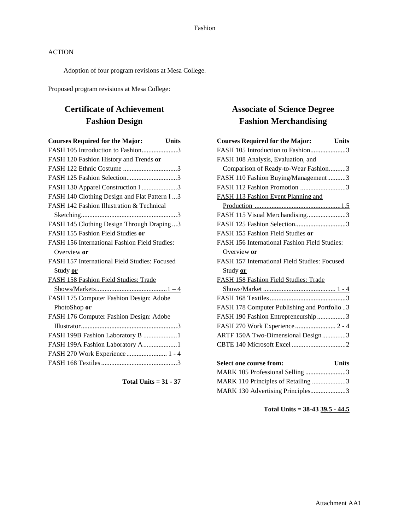Adoption of four program revisions at Mesa College.

Proposed program revisions at Mesa College:

## **Certificate of Achievement Fashion Design**

| <b>Courses Required for the Major:</b><br><b>Units</b> |
|--------------------------------------------------------|
| FASH 105 Introduction to Fashion3                      |
| FASH 120 Fashion History and Trends or                 |
| FASH 122 Ethnic Costume 3                              |
| FASH 125 Fashion Selection3                            |
| FASH 130 Apparel Construction I 3                      |
| FASH 140 Clothing Design and Flat Pattern I  3         |
| FASH 142 Fashion Illustration & Technical              |
|                                                        |
| FASH 145 Clothing Design Through Draping3              |
| FASH 155 Fashion Field Studies or                      |
| FASH 156 International Fashion Field Studies:          |
| Overview or                                            |
| FASH 157 International Field Studies: Focused          |
| Study or                                               |
| FASH 158 Fashion Field Studies: Trade                  |
|                                                        |
| FASH 175 Computer Fashion Design: Adobe                |
| PhotoShop or                                           |
| FASH 176 Computer Fashion Design: Adobe                |
|                                                        |
| FASH 199B Fashion Laboratory B 1                       |
| FASH 199A Fashion Laboratory A 1                       |
| FASH 270 Work Experience  1 - 4                        |
|                                                        |

**Total Units = 31 - 37**

## **Associate of Science Degree Fashion Merchandising**

| <b>Courses Required for the Major:</b><br><b>Units</b> |
|--------------------------------------------------------|
| FASH 105 Introduction to Fashion3                      |
| FASH 108 Analysis, Evaluation, and                     |
| Comparison of Ready-to-Wear Fashion3                   |
| FASH 110 Fashion Buying/Management3                    |
| FASH 112 Fashion Promotion 3                           |
| FASH 113 Fashion Event Planning and                    |
|                                                        |
| FASH 115 Visual Merchandising3                         |
| FASH 125 Fashion Selection3                            |
| FASH 155 Fashion Field Studies or                      |
| FASH 156 International Fashion Field Studies:          |
| Overview or                                            |
| FASH 157 International Field Studies: Focused          |
| Study or                                               |
| FASH 158 Fashion Field Studies: Trade                  |
|                                                        |
|                                                        |
| FASH 178 Computer Publishing and Portfolio3            |
| FASH 190 Fashion Entrepreneurship3                     |
| FASH 270 Work Experience 2 - 4                         |
| ARTF 150A Two-Dimensional Design3                      |
|                                                        |
|                                                        |
| <b>Select one course from:</b><br><b>Units</b>         |
| MARK 105 Professional Selling 3                        |
| MARK 110 Principles of Retailing 3                     |
| MARK 130 Advertising Principles3                       |

## **Total Units = 38-43 39.5 - 44.5**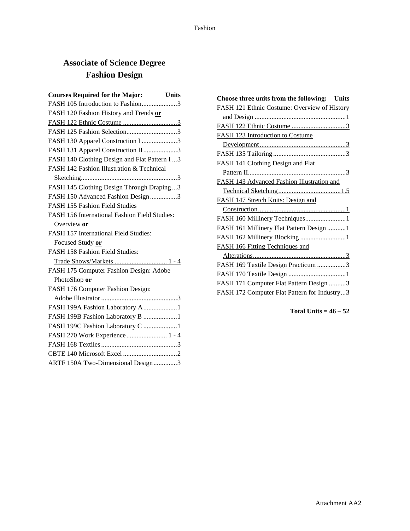# **Associate of Science Degree Fashion Design**

| <b>Courses Required for the Major:</b><br>Units |
|-------------------------------------------------|
| FASH 105 Introduction to Fashion3               |
| FASH 120 Fashion History and Trends or          |
|                                                 |
| FASH 125 Fashion Selection3                     |
| FASH 130 Apparel Construction I 3               |
| FASH 131 Apparel Construction II 3              |
| FASH 140 Clothing Design and Flat Pattern I  3  |
| FASH 142 Fashion Illustration & Technical       |
|                                                 |
| FASH 145 Clothing Design Through Draping3       |
| FASH 150 Advanced Fashion Design 3              |
| <b>FASH 155 Fashion Field Studies</b>           |
| FASH 156 International Fashion Field Studies:   |
| Overview or                                     |
| FASH 157 International Field Studies:           |
| Focused Study or                                |
| FASH 158 Fashion Field Studies:                 |
|                                                 |
| FASH 175 Computer Fashion Design: Adobe         |
| PhotoShop or                                    |
| FASH 176 Computer Fashion Design:               |
|                                                 |
| FASH 199A Fashion Laboratory A1                 |
| FASH 199B Fashion Laboratory B 1                |
| FASH 199C Fashion Laboratory C 1                |
| FASH 270 Work Experience  1 - 4                 |
|                                                 |
|                                                 |
| ARTF 150A Two-Dimensional Design3               |

| Choose three units from the following: Units |
|----------------------------------------------|
| FASH 121 Ethnic Costume: Overview of History |
|                                              |
|                                              |
| <b>FASH 123 Introduction to Costume</b>      |
|                                              |
|                                              |
| FASH 141 Clothing Design and Flat            |
|                                              |
| FASH 143 Advanced Fashion Illustration and   |
|                                              |
| FASH 147 Stretch Knits: Design and           |
|                                              |
| FASH 160 Millinery Techniques1               |
| FASH 161 Millinery Flat Pattern Design 1     |
| FASH 162 Millinery Blocking 1                |
| <b>FASH 166 Fitting Techniques and</b>       |
|                                              |
| FASH 169 Textile Design Practicum 3          |
|                                              |
| FASH 171 Computer Flat Pattern Design 3      |
| FASH 172 Computer Flat Pattern for Industry3 |

**Total Units = 46 – 52**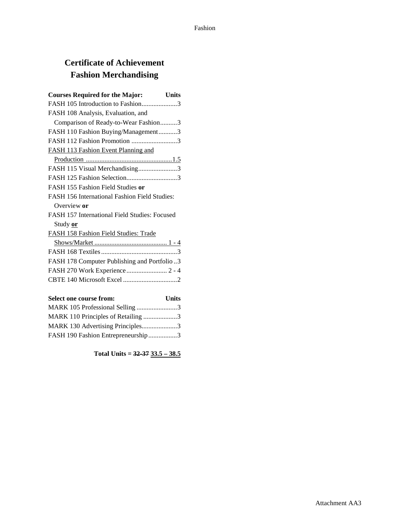## **Certificate of Achievement Fashion Merchandising**

| <b>Courses Required for the Major:</b><br><b>Units</b> |
|--------------------------------------------------------|
| FASH 105 Introduction to Fashion3                      |
| FASH 108 Analysis, Evaluation, and                     |
| Comparison of Ready-to-Wear Fashion3                   |
| FASH 110 Fashion Buying/Management3                    |
| FASH 112 Fashion Promotion 3                           |
| FASH 113 Fashion Event Planning and                    |
|                                                        |
| FASH 115 Visual Merchandising3                         |
| FASH 125 Fashion Selection3                            |
| FASH 155 Fashion Field Studies or                      |
| <b>FASH 156 International Fashion Field Studies:</b>   |
| Overview or                                            |
| FASH 157 International Field Studies: Focused          |
| Study or                                               |
| FASH 158 Fashion Field Studies: Trade                  |
|                                                        |
|                                                        |
| FASH 178 Computer Publishing and Portfolio3            |
| FASH 270 Work Experience  2 - 4                        |
|                                                        |
|                                                        |
| Select one course from:<br>Units                       |

| Delett vill course if ville        | ,,,,,,,, |
|------------------------------------|----------|
| MARK 105 Professional Selling 3    |          |
| MARK 110 Principles of Retailing 3 |          |
| MARK 130 Advertising Principles3   |          |
| FASH 190 Fashion Entrepreneurship3 |          |

**Total Units = 32-37 33.5 – 38.5**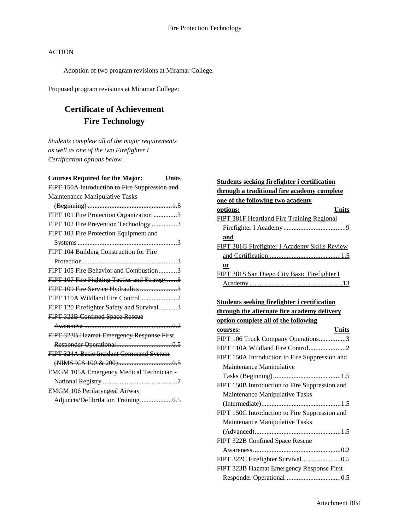Adoption of two program revisions at Miramar College.

Proposed program revisions at Miramar College:

## **Certificate of Achievement Fire Technology**

*Students complete all of the major requirements as well as one of the two Firefighter I Certification options below.*

| <b>Courses Required for the Major:</b><br><b>Units</b> |
|--------------------------------------------------------|
| FIPT 150A Introduction to Fire Suppression and         |
| Maintenance Manipulative Tasks                         |
|                                                        |
| FIPT 101 Fire Protection Organization 3                |
| FIPT 102 Fire Prevention Technology 3                  |
| FIPT 103 Fire Protection Equipment and                 |
|                                                        |
| FIPT 104 Building Construction for Fire                |
|                                                        |
| FIPT 105 Fire Behavior and Combustion3                 |
| FIPT 107 Fire Fighting Tactics and Strategy3           |
| FIPT 109 Fire Service Hydraulics 3                     |
| FIPT 110A Wildland Fire Control2                       |
| FIPT 120 Firefighter Safety and Survival3              |
| FIPT 322B Confined Space Rescue                        |
|                                                        |
| FIPT 323B Hazmat Emergency Response First              |
|                                                        |
| FIPT 324A Basic Incident Command System                |
|                                                        |
| EMGM 105A Emergency Medical Technician -               |
|                                                        |
| <b>EMGM 106 Perilaryngeal Airway</b>                   |
|                                                        |

| Students seeking firefighter i certification  |
|-----------------------------------------------|
| through a traditional fire academy complete   |
| one of the following two academy              |
| Units<br>options:                             |
| FIPT 381F Heartland Fire Training Regional    |
|                                               |
| and                                           |
| FIPT 381G Firefighter I Academy Skills Review |
|                                               |
| or                                            |
| FIPT 381S San Diego City Basic Firefighter I  |
|                                               |

## **Students seeking firefighter i certification**

**through the alternate fire academy delivery option complete all of the following**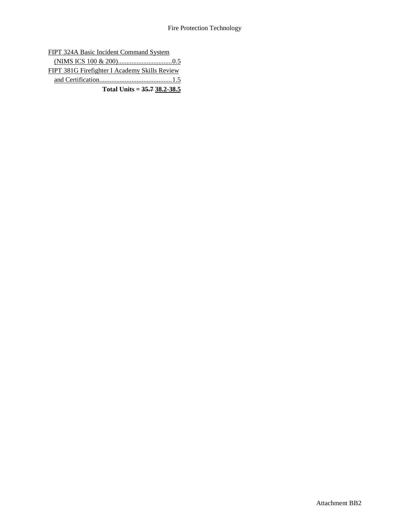FIPT 324A Basic Incident Command System

| FIPT 381G Firefighter I Academy Skills Review |  |
|-----------------------------------------------|--|
|                                               |  |
| Total Units = $35.738.2 - 38.5$               |  |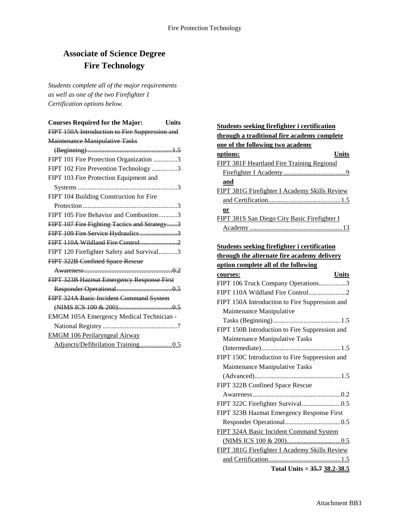## **Associate of Science Degree Fire Technology**

*Students complete all of the major requirements as well as one of the two Firefighter I Certification options below.*

| <b>Courses Required for the Major:</b><br><b>Units</b> |
|--------------------------------------------------------|
| FIPT 150A Introduction to Fire Suppression and         |
| <b>Maintenance Manipulative Tasks</b>                  |
|                                                        |
| FIPT 101 Fire Protection Organization 3                |
| FIPT 102 Fire Prevention Technology 3                  |
| FIPT 103 Fire Protection Equipment and                 |
|                                                        |
| FIPT 104 Building Construction for Fire                |
|                                                        |
| FIPT 105 Fire Behavior and Combustion3                 |
| FIPT 107 Fire Fighting Tactics and Strategy3           |
| FIPT 109 Fire Service Hydraulics 3                     |
| FIPT 110A Wildland Fire Control2                       |
| FIPT 120 Firefighter Safety and Survival3              |
| FIPT 322B Confined Space Rescue                        |
|                                                        |
| FIPT 323B Hazmat Emergency Response First              |
|                                                        |
| FIPT 324A Basic Incident Command System                |
|                                                        |
| EMGM 105A Emergency Medical Technician -               |
|                                                        |
| <b>EMGM 106 Perilaryngeal Airway</b>                   |
| Adjuncts/Defibrilation Training0.5                     |

## **Students seeking firefighter i certification through a traditional fire academy complete one of the following two academy options: Units** FIPT 381F Heartland Fire Training Regional Firefighter I Academy.....................................9 **and** FIPT 381G Firefighter I Academy Skills Review and Certification...........................................1.5 **or** FIPT 381S San Diego City Basic Firefighter I Academy .......................................................13

#### **Students seeking firefighter i certification**

| through the alternate fire academy delivery |
|---------------------------------------------|
| option complete all of the following        |

| <u>ophon comprete an or the rono wing</u>      |
|------------------------------------------------|
| Units<br>courses:                              |
| FIPT 106 Truck Company Operations3             |
| FIPT 110A Wildland Fire Control2               |
| FIPT 150A Introduction to Fire Suppression and |
| Maintenance Manipulative                       |
|                                                |
| FIPT 150B Introduction to Fire Suppression and |
| Maintenance Manipulative Tasks                 |
|                                                |
| FIPT 150C Introduction to Fire Suppression and |
| Maintenance Manipulative Tasks                 |
|                                                |
| FIPT 322B Confined Space Rescue                |
|                                                |
|                                                |
| FIPT 323B Hazmat Emergency Response First      |
|                                                |
| FIPT 324A Basic Incident Command System        |
|                                                |
|                                                |
|                                                |
| Total Units = $35.738.2 - 38.5$                |
| FIPT 381G Firefighter I Academy Skills Review  |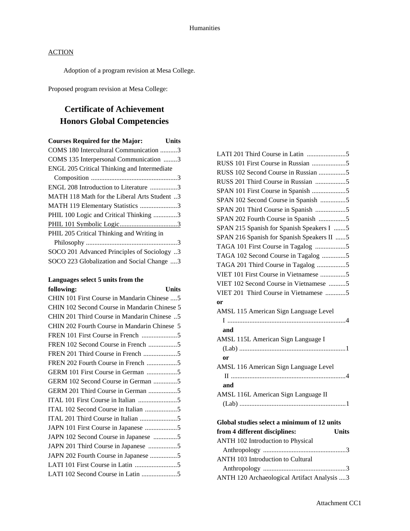Adoption of a program revision at Mesa College.

Proposed program revision at Mesa College:

## **Certificate of Achievement Honors Global Competencies**

| <b>Courses Required for the Major:</b><br>Units |
|-------------------------------------------------|
| COMS 180 Intercultural Communication 3          |
| COMS 135 Interpersonal Communication 3          |
| ENGL 205 Critical Thinking and Intermediate     |
|                                                 |
| ENGL 208 Introduction to Literature 3           |
| MATH 118 Math for the Liberal Arts Student 3    |
| MATH 119 Elementary Statistics 3                |
| PHIL 100 Logic and Critical Thinking 3          |
|                                                 |
| PHIL 205 Critical Thinking and Writing in       |
|                                                 |
| SOCO 201 Advanced Principles of Sociology 3     |
| SOCO 223 Globalization and Social Change 3      |

### **Languages select 5 units from the following: Units**

| TONOWINS:<br>UШts                            |  |
|----------------------------------------------|--|
| CHIN 101 First Course in Mandarin Chinese  5 |  |
| CHIN 102 Second Course in Mandarin Chinese 5 |  |
| CHIN 201 Third Course in Mandarin Chinese 5  |  |
| CHIN 202 Fourth Course in Mandarin Chinese 5 |  |
|                                              |  |
| FREN 102 Second Course in French 5           |  |
|                                              |  |
| FREN 202 Fourth Course in French 5           |  |
| GERM 101 First Course in German 5            |  |
| GERM 102 Second Course in German 5           |  |
| GERM 201 Third Course in German 5            |  |
|                                              |  |
| ITAL 102 Second Course in Italian 5          |  |
|                                              |  |
| JAPN 101 First Course in Japanese 5          |  |
| JAPN 102 Second Course in Japanese 5         |  |
| JAPN 201 Third Course in Japanese 5          |  |
| JAPN 202 Fourth Course in Japanese 5         |  |
|                                              |  |
| LATI 102 Second Course in Latin 5            |  |
|                                              |  |

| RUSS 102 Second Course in Russian 5         |
|---------------------------------------------|
| RUSS 201 Third Course in Russian 5          |
|                                             |
| SPAN 102 Second Course in Spanish 5         |
| SPAN 201 Third Course in Spanish 5          |
| SPAN 202 Fourth Course in Spanish 5         |
| SPAN 215 Spanish for Spanish Speakers I 5   |
| SPAN 216 Spanish for Spanish Speakers II 5  |
| TAGA 101 First Course in Tagalog 5          |
| TAGA 102 Second Course in Tagalog 5         |
| TAGA 201 Third Course in Tagalog 5          |
| VIET 101 First Course in Vietnamese 5       |
| VIET 102 Second Course in Vietnamese 5      |
| VIET 201 Third Course in Vietnamese 5       |
| or                                          |
| AMSL 115 American Sign Language Level       |
|                                             |
| and                                         |
| AMSL 115L American Sign Language I          |
|                                             |
| or                                          |
| AMSL 116 American Sign Language Level       |
|                                             |
| and                                         |
| AMSL 116L American Sign Language II         |
|                                             |
|                                             |
| Global studies select a minimum of 12 units |

| from 4 different disciplines:                | <b>Units</b> |
|----------------------------------------------|--------------|
| ANTH 102 Introduction to Physical            |              |
|                                              |              |
| ANTH 103 Introduction to Cultural            |              |
|                                              |              |
| ANTH 120 Archaeological Artifact Analysis  3 |              |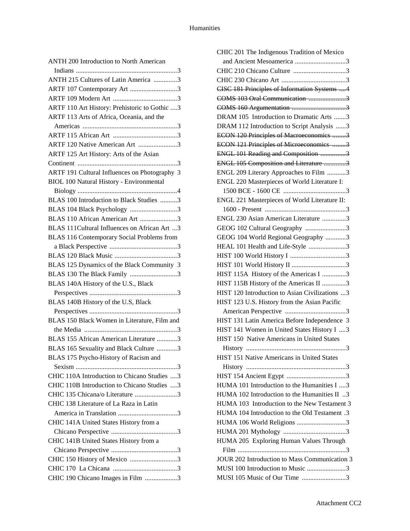| ANTH 200 Introduction to North American       |
|-----------------------------------------------|
|                                               |
| ANTH 215 Cultures of Latin America 3          |
| ARTF 107 Contemporary Art 3                   |
|                                               |
| ARTF 110 Art History: Prehistoric to Gothic 3 |
| ARTF 113 Arts of Africa, Oceania, and the     |
|                                               |
|                                               |
| ARTF 120 Native American Art 3                |
| ARTF 125 Art History: Arts of the Asian       |
|                                               |
| ARTF 191 Cultural Influences on Photography 3 |
| BIOL 100 Natural History - Environmental      |
|                                               |
| BLAS 100 Introduction to Black Studies 3      |
| BLAS 104 Black Psychology 3                   |
| BLAS 110 African American Art 3               |
| BLAS 111Cultural Influences on African Art 3  |
|                                               |
| BLAS 116 Contemporary Social Problems from    |
|                                               |
|                                               |
| BLAS 125 Dynamics of the Black Community 3    |
| BLAS 130 The Black Family 3                   |
| BLAS 140A History of the U.S., Black          |
|                                               |
| BLAS 140B History of the U.S, Black           |
|                                               |
| BLAS 150 Black Women in Literature, Film and  |
|                                               |
| BLAS 155 African American Literature 3        |
| BLAS 165 Sexuality and Black Culture 3        |
| BLAS 175 Psycho-History of Racism and         |
|                                               |
| CHIC 110A Introduction to Chicano Studies 3   |
| CHIC 110B Introduction to Chicano Studies  3  |
| CHIC 135 Chicana/o Literature 3               |
| CHIC 138 Literature of La Raza in Latin       |
|                                               |
| CHIC 141A United States History from a        |
|                                               |
| CHIC 141B United States History from a        |
|                                               |
| CHIC 150 History of Mexico 3                  |
|                                               |
| CHIC 190 Chicano Images in Film 3             |
|                                               |

| CHIC 201 The Indigenous Tradition of Mexico    |
|------------------------------------------------|
| and Ancient Mesoamerica 3                      |
| CHIC 210 Chicano Culture 3                     |
|                                                |
| CISC 181 Principles of Information Systems  4  |
| COMS 103 Oral Communication 3                  |
|                                                |
| DRAM 105 Introduction to Dramatic Arts 3       |
| DRAM 112 Introduction to Script Analysis 3     |
| ECON 120 Principles of Macroeconomics 3        |
| ECON 121 Principles of Microeconomics 3        |
| ENGL 101 Reading and Composition 3             |
| ENGL 105 Composition and Literature 3          |
| ENGL 209 Literary Approaches to Film 3         |
| ENGL 220 Masterpieces of World Literature I:   |
|                                                |
| ENGL 221 Masterpieces of World Literature II:  |
|                                                |
| ENGL 230 Asian American Literature 3           |
| GEOG 102 Cultural Geography 3                  |
| GEOG 104 World Regional Geography 3            |
| HEAL 101 Health and Life-Style 3               |
|                                                |
|                                                |
| HIST 115A History of the Americas I 3          |
| HIST 115B History of the Americas II 3         |
| HIST 120 Introduction to Asian Civilizations 3 |
| HIST 123 U.S. History from the Asian Pacific   |
|                                                |
| HIST 131 Latin America Before Independence 3   |
| HIST 141 Women in United States History I 3    |
| HIST 150 Native Americans in United States     |
|                                                |
| HIST 151 Native Americans in United States     |
|                                                |
|                                                |
| HUMA 101 Introduction to the Humanities I 3    |
| HUMA 102 Introduction to the Humanities II 3   |
| HUMA 103 Introduction to the New Testament 3   |
| HUMA 104 Introduction to the Old Testament .3  |
| HUMA 106 World Religions 3                     |
|                                                |
| HUMA 205 Exploring Human Values Through        |
|                                                |
| JOUR 202 Introduction to Mass Communication 3  |
| MUSI 100 Introduction to Music 3               |
| MUSI 105 Music of Our Time 3                   |
|                                                |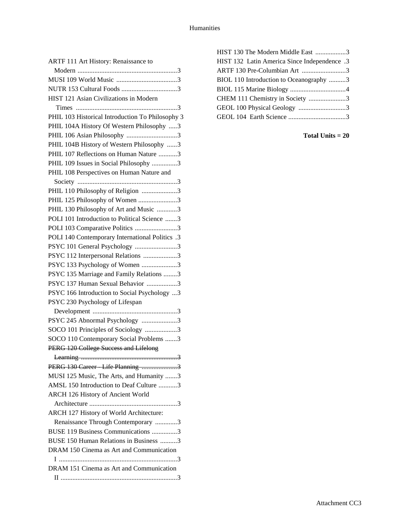| ARTF 111 Art History: Renaissance to             |
|--------------------------------------------------|
|                                                  |
|                                                  |
|                                                  |
| HIST 121 Asian Civilizations in Modern           |
|                                                  |
| PHIL 103 Historical Introduction To Philosophy 3 |
| PHIL 104A History Of Western Philosophy 3        |
| PHIL 106 Asian Philosophy 3                      |
| PHIL 104B History of Western Philosophy 3        |
| PHIL 107 Reflections on Human Nature 3           |
| PHIL 109 Issues in Social Philosophy 3           |
| PHIL 108 Perspectives on Human Nature and        |
|                                                  |
| PHIL 110 Philosophy of Religion 3                |
| PHIL 125 Philosophy of Women 3                   |
| PHIL 130 Philosophy of Art and Music 3           |
| POLI 101 Introduction to Political Science 3     |
| POLI 103 Comparative Politics 3                  |
| POLI 140 Contemporary International Politics .3  |
| PSYC 101 General Psychology 3                    |
| PSYC 112 Interpersonal Relations 3               |
| PSYC 133 Psychology of Women 3                   |
| PSYC 135 Marriage and Family Relations 3         |
| PSYC 137 Human Sexual Behavior 3                 |
| PSYC 166 Introduction to Social Psychology 3     |
| PSYC 230 Psychology of Lifespan                  |
|                                                  |
| PSYC 245 Abnormal Psychology 3                   |
| SOCO 101 Principles of Sociology 3               |
| SOCO 110 Contemporary Social Problems 3          |
| PERG 120 College Success and Lifelong            |
| 3                                                |
| PERG 130 Career Life Planning 3                  |
| MUSI 125 Music, The Arts, and Humanity 3         |
| AMSL 150 Introduction to Deaf Culture 3          |
| ARCH 126 History of Ancient World                |
|                                                  |
| ARCH 127 History of World Architecture:          |
| Renaissance Through Contemporary 3               |
| BUSE 119 Business Communications 3               |
| BUSE 150 Human Relations in Business 3           |
| DRAM 150 Cinema as Art and Communication         |
|                                                  |
| DRAM 151 Cinema as Art and Communication         |
|                                                  |

| HIST 130 The Modern Middle East 3            |  |
|----------------------------------------------|--|
| HIST 132 Latin America Since Independence .3 |  |
| ARTF 130 Pre-Columbian Art 3                 |  |
| BIOL 110 Introduction to Oceanography 3      |  |
|                                              |  |
| CHEM 111 Chemistry in Society 3              |  |
| GEOL 100 Physical Geology 3                  |  |
|                                              |  |
|                                              |  |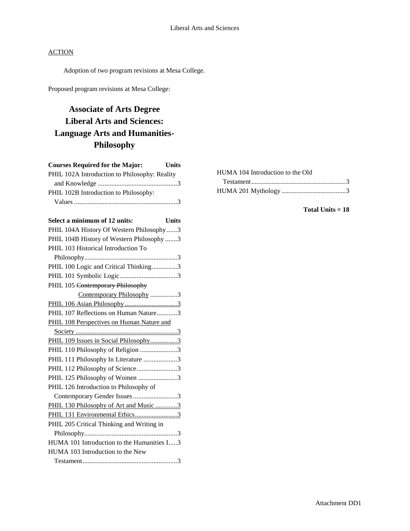Adoption of two program revisions at Mesa College.

Proposed program revisions at Mesa College:

## **Associate of Arts Degree Liberal Arts and Sciences: Language Arts and Humanities-Philosophy**

| <b>Courses Required for the Major:</b><br><b>Units</b> |
|--------------------------------------------------------|
| PHIL 102A Introduction to Philosophy: Reality          |
|                                                        |
| PHIL 102B Introduction to Philosophy:                  |
|                                                        |
| Select a minimum of 12 units:<br><b>Units</b>          |
| PHIL 104A History Of Western Philosophy 3              |
| PHIL 104B History of Western Philosophy 3              |
| PHIL 103 Historical Introduction To                    |
|                                                        |
| PHIL 100 Logic and Critical Thinking3                  |
|                                                        |
| PHIL 105 Contemporary Philosophy                       |
| Contemporary Philosophy 3                              |
| PHIL 106 Asian Philosophy3                             |
| PHIL 107 Reflections on Human Nature3                  |
| PHIL 108 Perspectives on Human Nature and              |
|                                                        |
| PHIL 109 Issues in Social Philosophy3                  |
| PHIL 110 Philosophy of Religion 3                      |
| PHIL 111 Philosophy In Literature 3                    |
| PHIL 112 Philosophy of Science3                        |
| PHIL 125 Philosophy of Women 3                         |
| PHIL 126 Introduction to Philosophy of                 |
| Contemporary Gender Issues3                            |
| PHIL 130 Philosophy of Art and Music 3                 |
| PHIL 131 Environmental Ethics3                         |
| PHIL 205 Critical Thinking and Writing in              |
|                                                        |
| HUMA 101 Introduction to the Humanities I3             |
| HUMA 103 Introduction to the New                       |
|                                                        |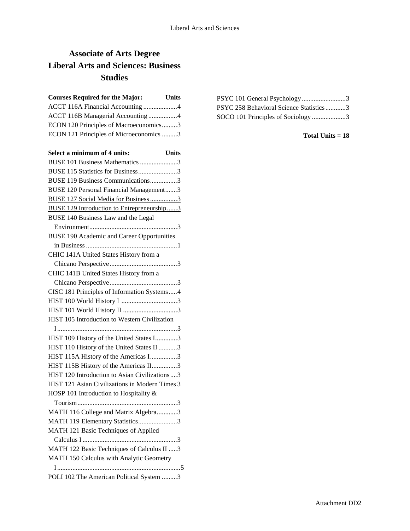## **Associate of Arts Degree Liberal Arts and Sciences: Business Studies**

| <b>Courses Required for the Major:</b>  | <b>Units</b> |
|-----------------------------------------|--------------|
| ACCT 116A Financial Accounting 4        |              |
| ACCT 116B Managerial Accounting 4       |              |
| ECON 120 Principles of Macroeconomics3  |              |
| ECON 121 Principles of Microeconomics 3 |              |
|                                         |              |

| Select a minimum of 4 units:<br><b>Units</b>      |
|---------------------------------------------------|
| BUSE 101 Business Mathematics 3                   |
| BUSE 115 Statistics for Business3                 |
| BUSE 119 Business Communications3                 |
| BUSE 120 Personal Financial Management3           |
| <b>BUSE 127 Social Media for Business 3</b>       |
| <b>BUSE 129 Introduction to Entrepreneurship3</b> |
| BUSE 140 Business Law and the Legal               |
|                                                   |
| <b>BUSE 190 Academic and Career Opportunities</b> |
|                                                   |
| CHIC 141A United States History from a            |
|                                                   |
| CHIC 141B United States History from a            |
|                                                   |
| CISC 181 Principles of Information Systems4       |
|                                                   |
|                                                   |
| HIST 105 Introduction to Western Civilization     |
|                                                   |
| HIST 109 History of the United States I3          |
| HIST 110 History of the United States II 3        |
| HIST 115A History of the Americas I3              |
| HIST 115B History of the Americas II3             |
| HIST 120 Introduction to Asian Civilizations  3   |
| HIST 121 Asian Civilizations in Modern Times 3    |
| HOSP 101 Introduction to Hospitality &            |
|                                                   |
| MATH 116 College and Matrix Algebra3              |
| MATH 119 Elementary Statistics3                   |
| MATH 121 Basic Techniques of Applied              |
|                                                   |
| MATH 122 Basic Techniques of Calculus II 3        |
| MATH 150 Calculus with Analytic Geometry          |
|                                                   |
| POLI 102 The American Political System 3          |

| PSYC 101 General Psychology3            |
|-----------------------------------------|
| PSYC 258 Behavioral Science Statistics3 |
| SOCO 101 Principles of Sociology3       |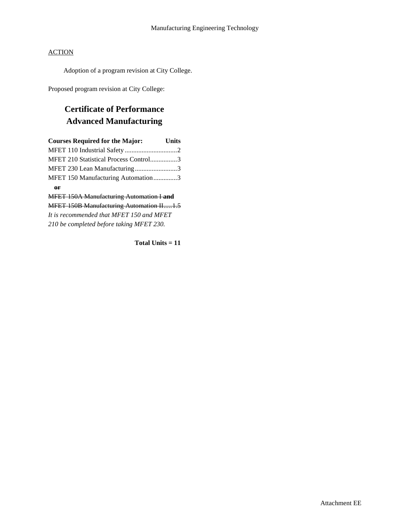Adoption of a program revision at City College.

Proposed program revision at City College:

## **Certificate of Performance Advanced Manufacturing**

| <b>Courses Required for the Major:</b>          | <b>Units</b> |
|-------------------------------------------------|--------------|
|                                                 |              |
| MFET 210 Statistical Process Control3           |              |
| MFET 230 Lean Manufacturing3                    |              |
| MFET 150 Manufacturing Automation3              |              |
| or                                              |              |
| <b>MFET 150A Manufacturing Automation I and</b> |              |
| <b>MFET 150B Manufacturing Automation II1.5</b> |              |
| It is recommended that MFET 150 and MFET        |              |
| 210 be completed before taking MFET 230.        |              |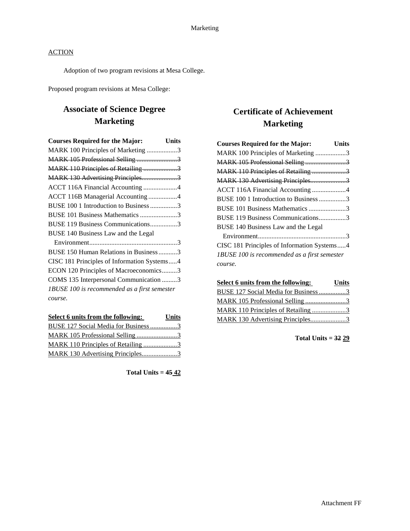Adoption of two program revisions at Mesa College.

Proposed program revisions at Mesa College:

## **Associate of Science Degree Marketing**

| <b>Courses Required for the Major:</b><br><b>Units</b> |  |
|--------------------------------------------------------|--|
| MARK 100 Principles of Marketing 3                     |  |
| MARK 105 Professional Selling 3                        |  |
| MARK 110 Principles of Retailing 3                     |  |
|                                                        |  |
| ACCT 116A Financial Accounting 4                       |  |
| ACCT 116B Managerial Accounting 4                      |  |
| BUSE 100 1 Introduction to Business 3                  |  |
| BUSE 101 Business Mathematics 3                        |  |
| BUSE 119 Business Communications3                      |  |
| BUSE 140 Business Law and the Legal                    |  |
|                                                        |  |
| BUSE 150 Human Relations in Business3                  |  |
| CISC 181 Principles of Information Systems4            |  |
| ECON 120 Principles of Macroeconomics3                 |  |
| COMS 135 Interpersonal Communication 3                 |  |
| IBUSE 100 is recommended as a first semester           |  |
| course.                                                |  |
|                                                        |  |

| Select 6 units from the following:   | <b>Units</b> |
|--------------------------------------|--------------|
| BUSE 127 Social Media for Business 3 |              |
|                                      |              |
| MARK 110 Principles of Retailing 3   |              |
| MARK 130 Advertising Principles3     |              |

**Total Units = 45 42**

## **Certificate of Achievement Marketing**

| <b>Courses Required for the Major:</b>              | Units |
|-----------------------------------------------------|-------|
| MARK 100 Principles of Marketing 3                  |       |
|                                                     |       |
| MARK 110 Principles of Retailing 3                  |       |
| MARK 130 Advertising Principles3                    |       |
| ACCT 116A Financial Accounting 4                    |       |
| BUSE 100 1 Introduction to Business 3               |       |
| BUSE 101 Business Mathematics 3                     |       |
| BUSE 119 Business Communications3                   |       |
| BUSE 140 Business Law and the Legal                 |       |
|                                                     |       |
| CISC 181 Principles of Information Systems4         |       |
| <b>IBUSE 100</b> is recommended as a first semester |       |
| course.                                             |       |

| Select 6 units from the following:   | <b>Units</b> |
|--------------------------------------|--------------|
| BUSE 127 Social Media for Business 3 |              |
|                                      |              |
| MARK 110 Principles of Retailing 3   |              |
| MARK 130 Advertising Principles3     |              |

**Total Units = 32 29**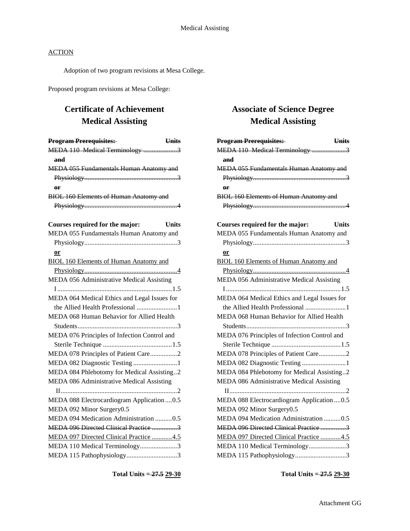Adoption of two program revisions at Mesa College.

Proposed program revisions at Mesa College:

## **Certificate of Achievement Medical Assisting**

| <b>Program Prerequisites:</b>                 | <b>Units</b> |
|-----------------------------------------------|--------------|
| MEDA 110 Medical Terminology 3                |              |
| and                                           |              |
| MEDA 055 Fundamentals Human Anatomy and       |              |
|                                               |              |
| or                                            |              |
| <b>BIOL 160 Elements of Human Anatomy and</b> |              |
|                                               |              |
|                                               |              |
| Courses required for the major:               | <b>Units</b> |
| MEDA 055 Fundamentals Human Anatomy and       |              |
|                                               |              |
| or                                            |              |
| <b>BIOL 160 Elements of Human Anatomy and</b> |              |
|                                               |              |
| MEDA 056 Administrative Medical Assisting     |              |
|                                               |              |
| MEDA 064 Medical Ethics and Legal Issues for  |              |
| the Allied Health Professional 1              |              |
| MEDA 068 Human Behavior for Allied Health     |              |
|                                               |              |
| MEDA 076 Principles of Infection Control and  |              |
|                                               |              |
| MEDA 078 Principles of Patient Care2          |              |
| MEDA 082 Diagnostic Testing 1                 |              |
| MEDA 084 Phlebotomy for Medical Assisting2    |              |
| MEDA 086 Administrative Medical Assisting     |              |
|                                               |              |
| MEDA 088 Electrocardiogram Application 0.5    |              |
| MEDA 092 Minor Surgery0.5                     |              |
| MEDA 094 Medication Administration 0.5        |              |
| MEDA 096 Directed Clinical Practice 3         |              |
| MEDA 097 Directed Clinical Practice 4.5       |              |
| MEDA 110 Medical Terminology3                 |              |
| MEDA 115 Pathophysiology3                     |              |

**Total Units = 27.5 29-30**

## **Associate of Science Degree Medical Assisting**

| <b>Program Prerequisites:</b>                 | <b>Units</b> |
|-----------------------------------------------|--------------|
| MEDA 110 Medical Terminology 3                |              |
| and                                           |              |
| MEDA 055 Fundamentals Human Anatomy and       |              |
|                                               |              |
| $\theta$ F                                    |              |
| <b>BIOL 160 Elements of Human Anatomy and</b> |              |
|                                               |              |
|                                               |              |
| Courses required for the major:               | <b>Units</b> |
| MEDA 055 Fundamentals Human Anatomy and       |              |
|                                               |              |
| $or$                                          |              |
| <b>BIOL 160 Elements of Human Anatomy and</b> |              |
|                                               |              |
| MEDA 056 Administrative Medical Assisting     |              |
|                                               |              |
| MEDA 064 Medical Ethics and Legal Issues for  |              |
| the Allied Health Professional 1              |              |
| MEDA 068 Human Behavior for Allied Health     |              |
|                                               |              |
| MEDA 076 Principles of Infection Control and  |              |
|                                               |              |
| MEDA 078 Principles of Patient Care2          |              |
| MEDA 082 Diagnostic Testing 1                 |              |
| MEDA 084 Phlebotomy for Medical Assisting2    |              |
| MEDA 086 Administrative Medical Assisting     |              |
|                                               |              |
| MEDA 088 Electrocardiogram Application0.5     |              |
| MEDA 092 Minor Surgery0.5                     |              |
| MEDA 094 Medication Administration 0.5        |              |
| MEDA 096 Directed Clinical Practice 3         |              |
| MEDA 097 Directed Clinical Practice 4.5       |              |
| MEDA 110 Medical Terminology3                 |              |
| MEDA 115 Pathophysiology3                     |              |

**Total Units = 27.5 29-30**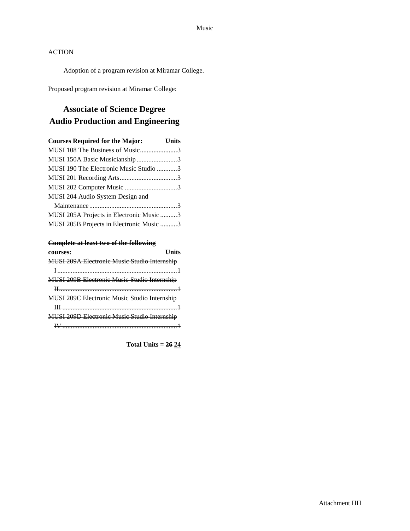Adoption of a program revision at Miramar College.

Proposed program revision at Miramar College:

## **Associate of Science Degree Audio Production and Engineering**

| <b>Courses Required for the Major:</b> Units |  |
|----------------------------------------------|--|
| MUSI 108 The Business of Music3              |  |
| MUSI 150A Basic Musicianship3                |  |
| MUSI 190 The Electronic Music Studio 3       |  |
|                                              |  |
| MUSI 202 Computer Music 3                    |  |
| MUSI 204 Audio System Design and             |  |
|                                              |  |
| MUSI 205A Projects in Electronic Music 3     |  |
| MUSI 205B Projects in Electronic Music 3     |  |

#### **Complete at least two of the following**

| courses:                                     |
|----------------------------------------------|
| MUSI 209A Electronic Music Studio Internship |
|                                              |
| MUSI 209B Electronic Music Studio Internship |
|                                              |
| MUSI 209C Electronic Music Studio Internship |
|                                              |
| MUSI 209D Electronic Music Studio Internship |
|                                              |

**Total Units = 26 24**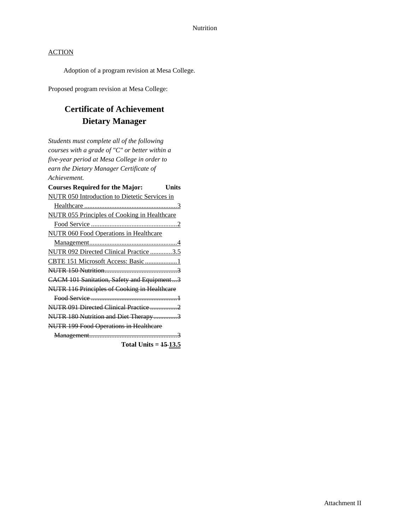Adoption of a program revision at Mesa College.

Proposed program revision at Mesa College:

## **Certificate of Achievement Dietary Manager**

*Students must complete all of the following courses with a grade of "C" or better within a five-year period at Mesa College in order to earn the Dietary Manager Certificate of Achievement.*

| <b>Courses Required for the Major:</b>              | ∐nits |
|-----------------------------------------------------|-------|
| NUTR 050 Introduction to Dietetic Services in       |       |
|                                                     |       |
| <b>NUTR 055 Principles of Cooking in Healthcare</b> |       |
|                                                     |       |
| <b>NUTR 060 Food Operations in Healthcare</b>       |       |
|                                                     |       |
| NUTR 092 Directed Clinical Practice 3.5             |       |
| CBTE 151 Microsoft Access: Basic 1                  |       |
|                                                     |       |
| CACM 101 Sanitation, Safety and Equipment3          |       |
| NUTR 116 Principles of Cooking in Healthcare        |       |
|                                                     |       |
|                                                     |       |
| NUTR 180 Nutrition and Diet Therapy3                |       |
| <b>NUTR 199 Food Operations in Healthcare</b>       |       |
|                                                     |       |

**Total Units = 15 13.5**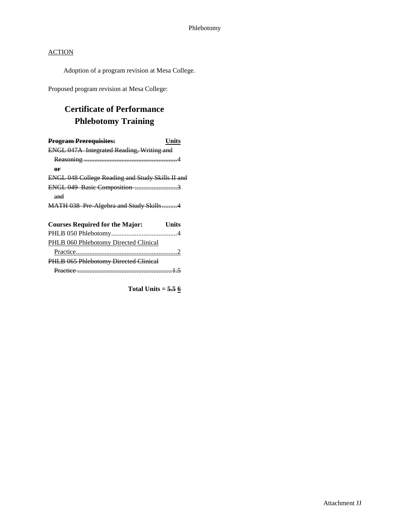Adoption of a program revision at Mesa College.

Proposed program revision at Mesa College:

## **Certificate of Performance Phlebotomy Training**

| <b>Program Prerequisites:</b>                           | Units |
|---------------------------------------------------------|-------|
| ENGL 047A Integrated Reading, Writing and               |       |
|                                                         |       |
| or                                                      |       |
| <b>ENGL 048 College Reading and Study Skills II and</b> |       |
| ENGL 049 Basic Composition 3                            |       |
| and                                                     |       |
| MATH 038 Pre Algebra and Study Skills4                  |       |
| <b>Courses Required for the Major:</b>                  | Units |
|                                                         |       |
| PHLB 060 Phlebotomy Directed Clinical                   |       |
|                                                         |       |
| PHLB 065 Phlebotomy Directed Clinical                   |       |
| Practice                                                |       |

**Total Units = 5.5 6**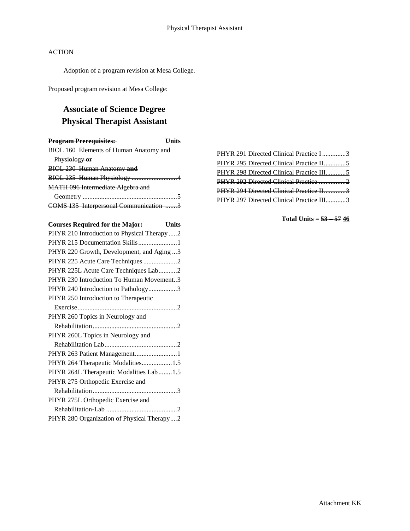Adoption of a program revision at Mesa College.

Proposed program revision at Mesa College:

## **Associate of Science Degree Physical Therapist Assistant**

| <b>Program Prerequisites:</b>                 | Hnits |
|-----------------------------------------------|-------|
| <b>BIOL 160 Elements of Human Anatomy and</b> |       |
| Physiology or                                 |       |
| <b>BIOL 230 Human Anatomy and</b>             |       |
|                                               |       |
| MATH 096 Intermediate Algebra and             |       |
|                                               |       |
| <b>COMS 135 Interpersonal Communication</b>   |       |

| <b>Courses Required for the Major:</b><br><b>Units</b> |
|--------------------------------------------------------|
| PHYR 210 Introduction to Physical Therapy 2            |
| PHYR 215 Documentation Skills1                         |
| PHYR 220 Growth, Development, and Aging 3              |
| PHYR 225 Acute Care Techniques 2                       |
| PHYR 225L Acute Care Techniques Lab2                   |
| PHYR 230 Introduction To Human Movement3               |
| PHYR 240 Introduction to Pathology3                    |
| PHYR 250 Introduction to Therapeutic                   |
|                                                        |
| PHYR 260 Topics in Neurology and                       |
|                                                        |
| PHYR 260L Topics in Neurology and                      |
|                                                        |
| PHYR 263 Patient Management1                           |
| PHYR 264 Therapeutic Modalities1.5                     |
| PHYR 264L Therapeutic Modalities Lab1.5                |
| PHYR 275 Orthopedic Exercise and                       |
|                                                        |
| PHYR 275L Orthopedic Exercise and                      |
|                                                        |
| PHYR 280 Organization of Physical Therapy2             |

| PHYR 291 Directed Clinical Practice I3   |  |
|------------------------------------------|--|
|                                          |  |
| PHYR 298 Directed Clinical Practice III5 |  |
| PHYR 292 Directed Clinical Practice 2    |  |
| PHYR 294 Directed Clinical Practice II3  |  |
| PHYR 297 Directed Clinical Practice III3 |  |
|                                          |  |

**Total Units = 53 – 57 46**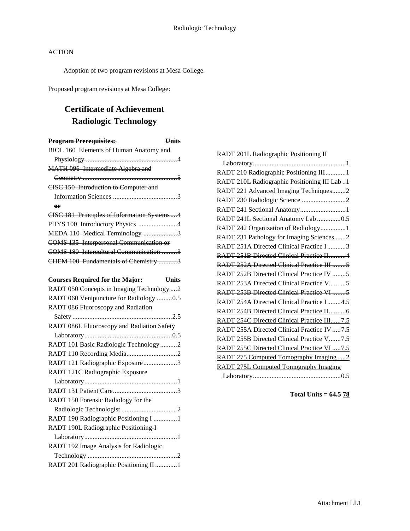Adoption of two program revisions at Mesa College.

Proposed program revisions at Mesa College:

## **Certificate of Achievement Radiologic Technology**

| <b>Program Prerequisites:</b><br><b>Units</b>   |
|-------------------------------------------------|
| <b>BIOL 160 Elements of Human Anatomy and</b>   |
|                                                 |
| MATH 096 Intermediate Algebra and               |
|                                                 |
| CISC 150 Introduction to Computer and           |
|                                                 |
| oг                                              |
| CISC 181 Principles of Information Systems4     |
| PHYS 100 Introductory Physics 4                 |
| MEDA 110 Medical Terminology 3                  |
| COMS 135 Interpersonal Communication or         |
| COMS 180 Intercultural Communication 3          |
| CHEM 100 Fundamentals of Chemistry 3            |
|                                                 |
| <b>Courses Required for the Major:</b><br>Units |
| RADT 050 Concepts in Imaging Technology 2       |
| RADT 060 Venipuncture for Radiology 0.5         |
| RADT 086 Fluoroscopy and Radiation              |
|                                                 |
| RADT 086L Fluoroscopy and Radiation Safety      |
|                                                 |
| RADT 101 Basic Radiologic Technology 2          |
|                                                 |
| RADT 121 Radiographic Exposure3                 |
| RADT 121C Radiographic Exposure                 |
|                                                 |
|                                                 |
| RADT 150 Forensic Radiology for the             |
|                                                 |
| RADT 190 Radiographic Positioning I 1           |
| RADT 190L Radiographic Positioning-I            |

| RADT 190L Radiographic Positioning-1   |  |
|----------------------------------------|--|
|                                        |  |
| RADT 192 Image Analysis for Radiologic |  |
|                                        |  |
| RADT 201 Radiographic Positioning II 1 |  |

| RADT 201L Radiographic Positioning II        |
|----------------------------------------------|
|                                              |
| RADT 210 Radiographic Positioning III1       |
| RADT 210L Radiographic Positioning III Lab1  |
| RADT 221 Advanced Imaging Techniques2        |
| RADT 230 Radiologic Science 2                |
| RADT 241 Sectional Anatomy1                  |
| RADT 241L Sectional Anatomy Lab 0.5          |
| RADT 242 Organization of Radiology1          |
| RADT 231 Pathology for Imaging Sciences 2    |
| RADT 251A Directed Clinical Practice I 3     |
| RADT 251B Directed Clinical Practice II4     |
|                                              |
| RADT 252B Directed Clinical Practice IV 5    |
| RADT 253A Directed Clinical Practice V5      |
| RADT 253B Directed Clinical Practice VI 5    |
| RADT 254A Directed Clinical Practice I4.5    |
| RADT 254B Directed Clinical Practice II 6    |
| RADT 254C Directed Clinical Practice III7.5  |
| RADT 255A Directed Clinical Practice IV  7.5 |
| RADT 255B Directed Clinical Practice V7.5    |
| RADT 255C Directed Clinical Practice VI  7.5 |
| RADT 275 Computed Tomography Imaging2        |
| <b>RADT 275L Computed Tomography Imaging</b> |
|                                              |

**Total Units = 64.5 78**